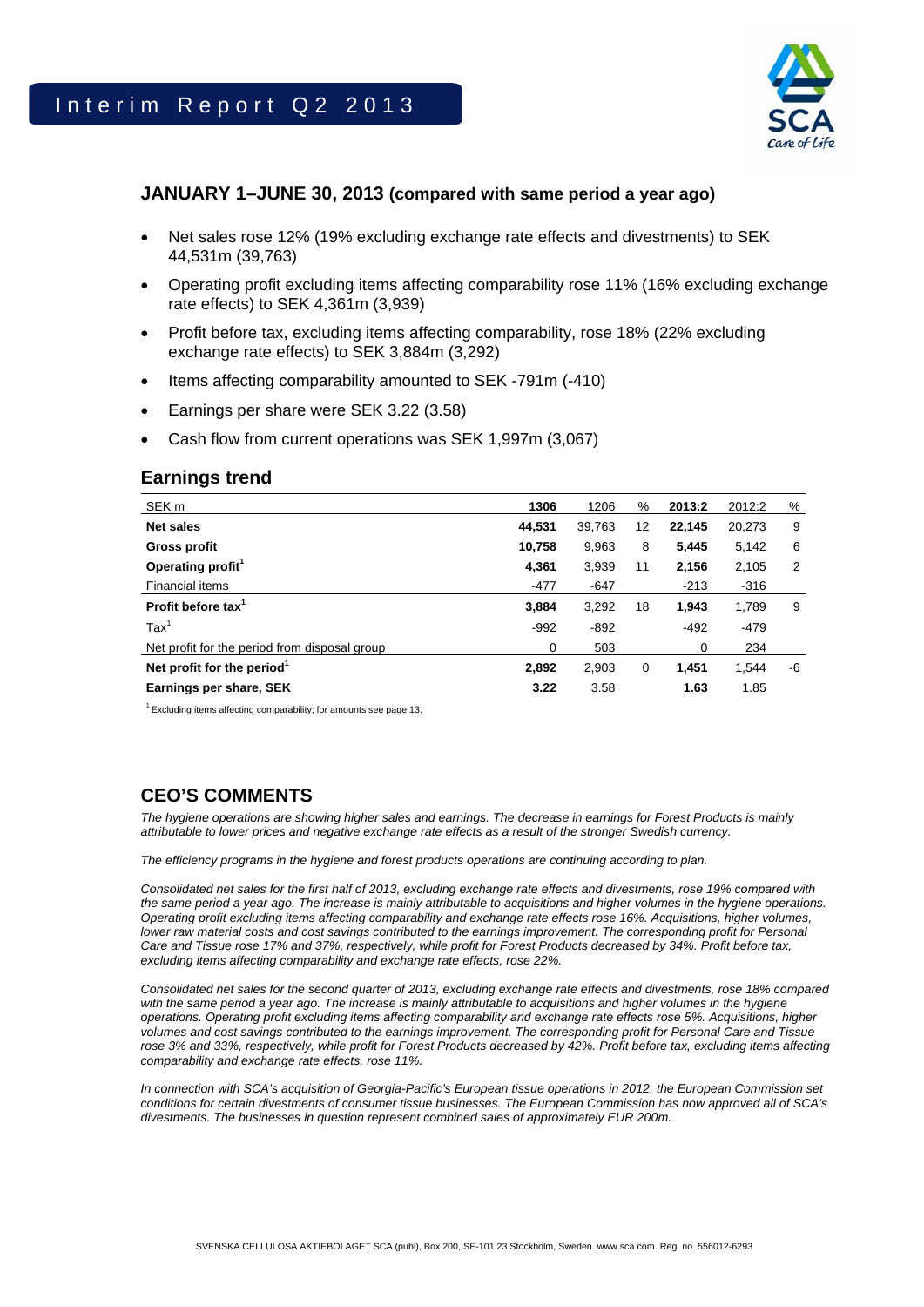

### **JANUARY 1–JUNE 30, 2013 (compared with same period a year ago)**

- Net sales rose 12% (19% excluding exchange rate effects and divestments) to SEK 44,531m (39,763)
- Operating profit excluding items affecting comparability rose 11% (16% excluding exchange rate effects) to SEK 4,361m (3,939)
- Profit before tax, excluding items affecting comparability, rose 18% (22% excluding exchange rate effects) to SEK 3,884m (3,292)
- Items affecting comparability amounted to SEK -791m (-410)
- Earnings per share were SEK 3.22 (3.58)
- Cash flow from current operations was SEK 1,997m (3,067)

### **Earnings trend**

| SEK <sub>m</sub>                              | 1306   | 1206   | %  | 2013:2 | 2012:2 | %  |
|-----------------------------------------------|--------|--------|----|--------|--------|----|
| <b>Net sales</b>                              | 44,531 | 39,763 | 12 | 22.145 | 20,273 | 9  |
| Gross profit                                  | 10,758 | 9,963  | 8  | 5,445  | 5,142  | 6  |
| Operating profit <sup>1</sup>                 | 4,361  | 3,939  | 11 | 2,156  | 2,105  | 2  |
| Financial items                               | $-477$ | $-647$ |    | $-213$ | $-316$ |    |
| Profit before tax <sup>1</sup>                | 3,884  | 3,292  | 18 | 1.943  | 1,789  | 9  |
| $\text{Tax}^1$                                | $-992$ | $-892$ |    | $-492$ | $-479$ |    |
| Net profit for the period from disposal group | 0      | 503    |    | 0      | 234    |    |
| Net profit for the period <sup>1</sup>        | 2,892  | 2,903  | 0  | 1.451  | 1,544  | -6 |
| Earnings per share, SEK                       | 3.22   | 3.58   |    | 1.63   | 1.85   |    |

 $1$  Excluding items affecting comparability; for amounts see page 13.

# **CEO'S COMMENTS**

*The hygiene operations are showing higher sales and earnings. The decrease in earnings for Forest Products is mainly attributable to lower prices and negative exchange rate effects as a result of the stronger Swedish currency.*

*The efficiency programs in the hygiene and forest products operations are continuing according to plan.* 

*Consolidated net sales for the first half of 2013, excluding exchange rate effects and divestments, rose 19% compared with the same period a year ago. The increase is mainly attributable to acquisitions and higher volumes in the hygiene operations. Operating profit excluding items affecting comparability and exchange rate effects rose 16%. Acquisitions, higher volumes, lower raw material costs and cost savings contributed to the earnings improvement. The corresponding profit for Personal Care and Tissue rose 17% and 37%, respectively, while profit for Forest Products decreased by 34%. Profit before tax, excluding items affecting comparability and exchange rate effects, rose 22%.* 

*Consolidated net sales for the second quarter of 2013, excluding exchange rate effects and divestments, rose 18% compared*  with the same period a year ago. The increase is mainly attributable to acquisitions and higher volumes in the hygiene *operations. Operating profit excluding items affecting comparability and exchange rate effects rose 5%. Acquisitions, higher volumes and cost savings contributed to the earnings improvement. The corresponding profit for Personal Care and Tissue rose 3% and 33%, respectively, while profit for Forest Products decreased by 42%. Profit before tax, excluding items affecting comparability and exchange rate effects, rose 11%.* 

*In connection with SCA's acquisition of Georgia-Pacific's European tissue operations in 2012, the European Commission set conditions for certain divestments of consumer tissue businesses. The European Commission has now approved all of SCA's divestments. The businesses in question represent combined sales of approximately EUR 200m.*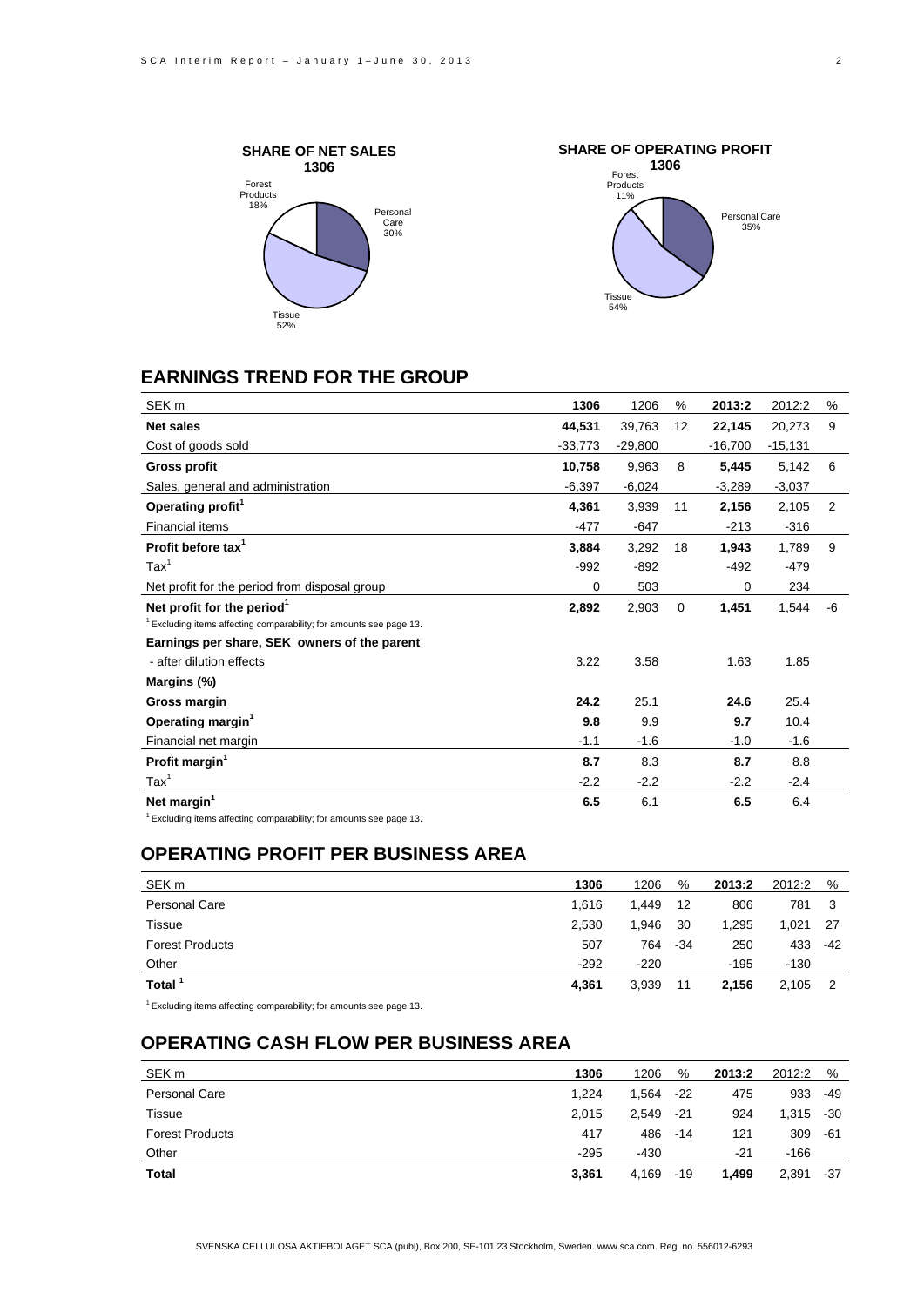



# **EARNINGS TREND FOR THE GROUP**

| SEK <sub>m</sub>                                                      | 1306      | 1206      | %  | 2013:2    | 2012:2    | %  |
|-----------------------------------------------------------------------|-----------|-----------|----|-----------|-----------|----|
| <b>Net sales</b>                                                      | 44,531    | 39.763    | 12 | 22,145    | 20,273    | 9  |
| Cost of goods sold                                                    | $-33,773$ | $-29,800$ |    | $-16,700$ | $-15,131$ |    |
| <b>Gross profit</b>                                                   | 10,758    | 9,963     | 8  | 5,445     | 5,142     | 6  |
| Sales, general and administration                                     | $-6,397$  | $-6,024$  |    | $-3,289$  | $-3,037$  |    |
| Operating profit <sup>1</sup>                                         | 4,361     | 3,939     | 11 | 2,156     | 2,105     | 2  |
| Financial items                                                       | $-477$    | $-647$    |    | $-213$    | $-316$    |    |
| Profit before tax <sup>1</sup>                                        | 3,884     | 3,292     | 18 | 1,943     | 1,789     | 9  |
| $\text{Tax}^1$                                                        | $-992$    | $-892$    |    | $-492$    | $-479$    |    |
| Net profit for the period from disposal group                         | 0         | 503       |    | 0         | 234       |    |
| Net profit for the period <sup>1</sup>                                | 2,892     | 2,903     | 0  | 1,451     | 1,544     | -6 |
| $1$ Excluding items affecting comparability; for amounts see page 13. |           |           |    |           |           |    |
| Earnings per share, SEK owners of the parent                          |           |           |    |           |           |    |
| - after dilution effects                                              | 3.22      | 3.58      |    | 1.63      | 1.85      |    |
| Margins (%)                                                           |           |           |    |           |           |    |
| Gross margin                                                          | 24.2      | 25.1      |    | 24.6      | 25.4      |    |
| Operating margin <sup>1</sup>                                         | 9.8       | 9.9       |    | 9.7       | 10.4      |    |
| Financial net margin                                                  | $-1.1$    | $-1.6$    |    | $-1.0$    | $-1.6$    |    |
| Profit margin <sup>1</sup>                                            | 8.7       | 8.3       |    | 8.7       | 8.8       |    |
| $\text{Tax}^1$                                                        | $-2.2$    | $-2.2$    |    | $-2.2$    | $-2.4$    |    |
| Net margin <sup>1</sup><br>$1 - 1 - 1$                                | 6.5       | 6.1       |    | 6.5       | 6.4       |    |

1 Excluding items affecting comparability; for amounts see page 13.

### **OPERATING PROFIT PER BUSINESS AREA**

| SEK <sub>m</sub>       | 1306   | 1206   | %     | 2013:2 | 2012:2 | %     |
|------------------------|--------|--------|-------|--------|--------|-------|
| <b>Personal Care</b>   | 1.616  | 1.449  | 12    | 806    | 781    |       |
| Tissue                 | 2,530  | 1,946  | 30    | 1,295  | 1,021  | -27   |
| <b>Forest Products</b> | 507    | 764    | $-34$ | 250    | 433    | $-42$ |
| Other                  | $-292$ | $-220$ |       | $-195$ | $-130$ |       |
| Total <sup>1</sup>     | 4.361  | 3,939  | 11    | 2,156  | 2,105  |       |
| $\overline{a}$         |        |        |       |        |        |       |

 $1$  Excluding items affecting comparability; for amounts see page 13.

# **OPERATING CASH FLOW PER BUSINESS AREA**

| SEK <sub>m</sub>       | 1306   | 1206  | %     | 2013:2 | 2012:2 | %   |
|------------------------|--------|-------|-------|--------|--------|-----|
| Personal Care          | 1,224  | 1.564 | $-22$ | 475    | 933    | -49 |
| Tissue                 | 2,015  | 2.549 | -21   | 924    | 1,315  | -30 |
| <b>Forest Products</b> | 417    | 486   | $-14$ | 121    | 309    | -61 |
| Other                  | $-295$ | -430  |       | -21    | $-166$ |     |
| Total                  | 3,361  | 4,169 | $-19$ | 1.499  | 2,391  | -37 |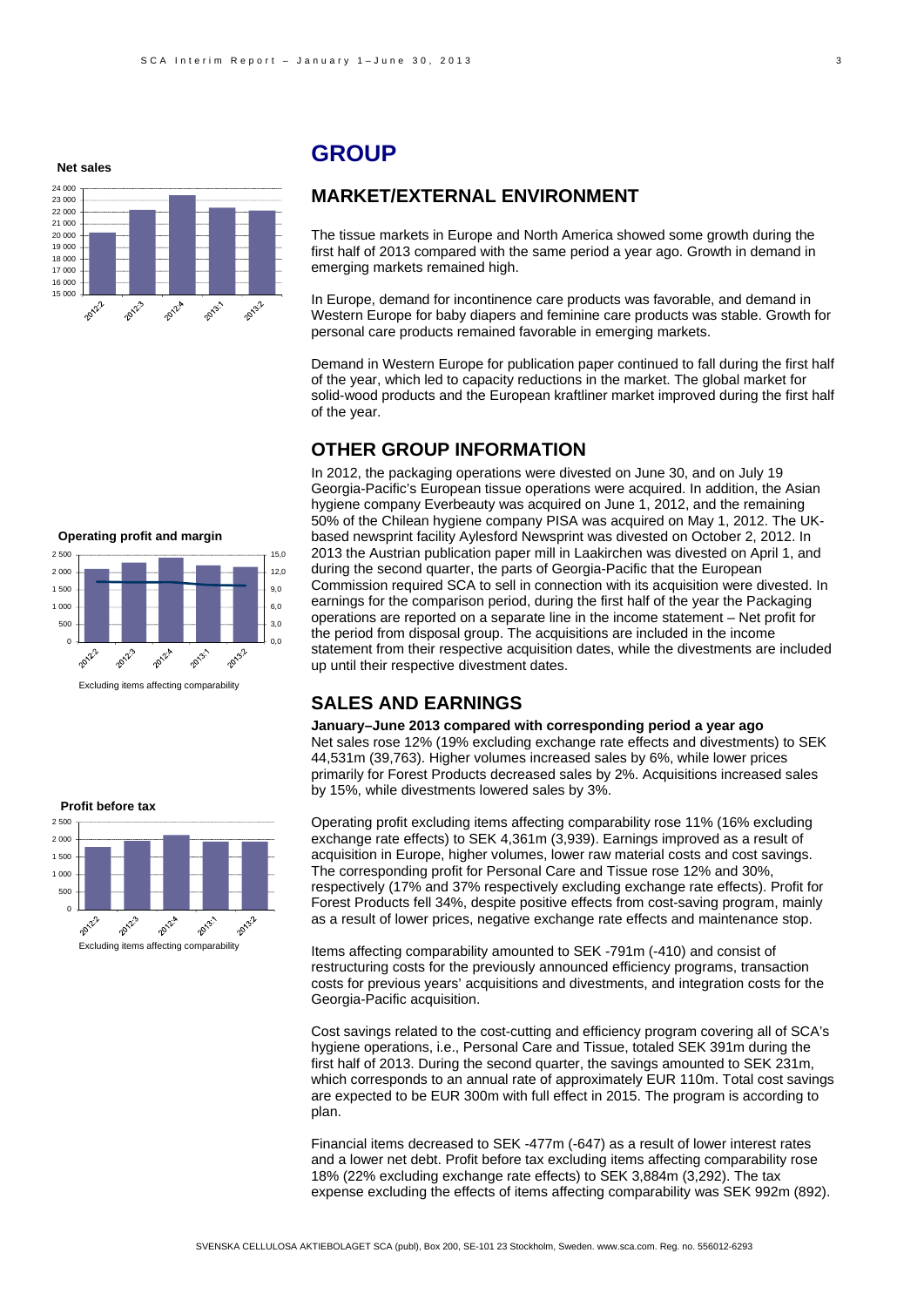**Net sales**



# **GROUP**

### **MARKET/EXTERNAL ENVIRONMENT**

The tissue markets in Europe and North America showed some growth during the first half of 2013 compared with the same period a year ago. Growth in demand in emerging markets remained high.

In Europe, demand for incontinence care products was favorable, and demand in Western Europe for baby diapers and feminine care products was stable. Growth for personal care products remained favorable in emerging markets.

Demand in Western Europe for publication paper continued to fall during the first half of the year, which led to capacity reductions in the market. The global market for solid-wood products and the European kraftliner market improved during the first half of the year.

### **OTHER GROUP INFORMATION**

In 2012, the packaging operations were divested on June 30, and on July 19 Georgia-Pacific's European tissue operations were acquired. In addition, the Asian hygiene company Everbeauty was acquired on June 1, 2012, and the remaining 50% of the Chilean hygiene company PISA was acquired on May 1, 2012. The UKbased newsprint facility Aylesford Newsprint was divested on October 2, 2012. In 2013 the Austrian publication paper mill in Laakirchen was divested on April 1, and during the second quarter, the parts of Georgia-Pacific that the European Commission required SCA to sell in connection with its acquisition were divested. In earnings for the comparison period, during the first half of the year the Packaging operations are reported on a separate line in the income statement – Net profit for the period from disposal group. The acquisitions are included in the income statement from their respective acquisition dates, while the divestments are included up until their respective divestment dates.

### **SALES AND EARNINGS**

**January–June 2013 compared with corresponding period a year ago**  Net sales rose 12% (19% excluding exchange rate effects and divestments) to SEK 44,531m (39,763). Higher volumes increased sales by 6%, while lower prices primarily for Forest Products decreased sales by 2%. Acquisitions increased sales by 15%, while divestments lowered sales by 3%.

Operating profit excluding items affecting comparability rose 11% (16% excluding exchange rate effects) to SEK 4,361m (3,939). Earnings improved as a result of acquisition in Europe, higher volumes, lower raw material costs and cost savings. The corresponding profit for Personal Care and Tissue rose 12% and 30%, respectively (17% and 37% respectively excluding exchange rate effects). Profit for Forest Products fell 34%, despite positive effects from cost-saving program, mainly as a result of lower prices, negative exchange rate effects and maintenance stop.

Items affecting comparability amounted to SEK -791m (-410) and consist of restructuring costs for the previously announced efficiency programs, transaction costs for previous years' acquisitions and divestments, and integration costs for the Georgia-Pacific acquisition.

Cost savings related to the cost-cutting and efficiency program covering all of SCA's hygiene operations, i.e., Personal Care and Tissue, totaled SEK 391m during the first half of 2013. During the second quarter, the savings amounted to SEK 231m, which corresponds to an annual rate of approximately EUR 110m. Total cost savings are expected to be EUR 300m with full effect in 2015. The program is according to plan.

Financial items decreased to SEK -477m (-647) as a result of lower interest rates and a lower net debt. Profit before tax excluding items affecting comparability rose 18% (22% excluding exchange rate effects) to SEK 3,884m (3,292). The tax expense excluding the effects of items affecting comparability was SEK 992m (892).



Excluding items affecting comparability

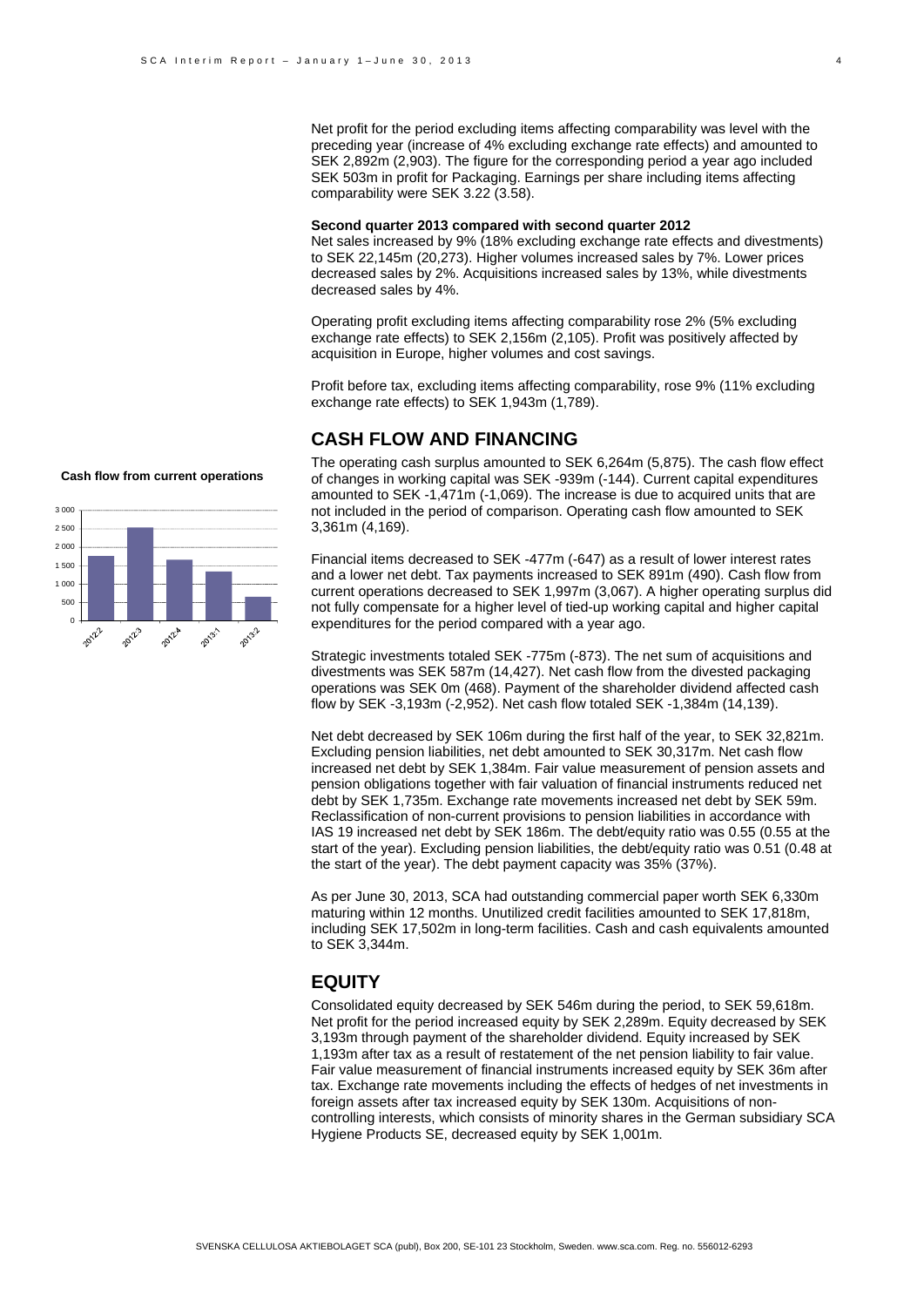Net profit for the period excluding items affecting comparability was level with the preceding year (increase of 4% excluding exchange rate effects) and amounted to SEK 2,892m (2,903). The figure for the corresponding period a year ago included SEK 503m in profit for Packaging. Earnings per share including items affecting comparability were SEK 3.22 (3.58).

#### **Second quarter 2013 compared with second quarter 2012**

Net sales increased by 9% (18% excluding exchange rate effects and divestments) to SEK 22,145m (20,273). Higher volumes increased sales by 7%. Lower prices decreased sales by 2%. Acquisitions increased sales by 13%, while divestments decreased sales by 4%.

Operating profit excluding items affecting comparability rose 2% (5% excluding exchange rate effects) to SEK 2,156m (2,105). Profit was positively affected by acquisition in Europe, higher volumes and cost savings.

Profit before tax, excluding items affecting comparability, rose 9% (11% excluding exchange rate effects) to SEK 1,943m (1,789).

#### **CASH FLOW AND FINANCING**

3 000 2 500 2.000 1.500 1 000 500 0 20132 2012年 2012.3 2012年 2013:1

**Cash flow from current operations**

The operating cash surplus amounted to SEK 6,264m (5,875). The cash flow effect of changes in working capital was SEK -939m (-144). Current capital expenditures amounted to SEK -1,471m (-1,069). The increase is due to acquired units that are not included in the period of comparison. Operating cash flow amounted to SEK 3,361m (4,169).

Financial items decreased to SEK -477m (-647) as a result of lower interest rates and a lower net debt. Tax payments increased to SEK 891m (490). Cash flow from current operations decreased to SEK 1,997m (3,067). A higher operating surplus did not fully compensate for a higher level of tied-up working capital and higher capital expenditures for the period compared with a year ago.

Strategic investments totaled SEK -775m (-873). The net sum of acquisitions and divestments was SEK 587m (14,427). Net cash flow from the divested packaging operations was SEK 0m (468). Payment of the shareholder dividend affected cash flow by SEK -3,193m (-2,952). Net cash flow totaled SEK -1,384m (14,139).

Net debt decreased by SEK 106m during the first half of the year, to SEK 32,821m. Excluding pension liabilities, net debt amounted to SEK 30,317m. Net cash flow increased net debt by SEK 1,384m. Fair value measurement of pension assets and pension obligations together with fair valuation of financial instruments reduced net debt by SEK 1,735m. Exchange rate movements increased net debt by SEK 59m. Reclassification of non-current provisions to pension liabilities in accordance with IAS 19 increased net debt by SEK 186m. The debt/equity ratio was 0.55 (0.55 at the start of the year). Excluding pension liabilities, the debt/equity ratio was 0.51 (0.48 at the start of the year). The debt payment capacity was 35% (37%).

As per June 30, 2013, SCA had outstanding commercial paper worth SEK 6,330m maturing within 12 months. Unutilized credit facilities amounted to SEK 17,818m, including SEK 17,502m in long-term facilities. Cash and cash equivalents amounted to SEK 3,344m.

### **EQUITY**

Consolidated equity decreased by SEK 546m during the period, to SEK 59,618m. Net profit for the period increased equity by SEK 2,289m. Equity decreased by SEK 3,193m through payment of the shareholder dividend. Equity increased by SEK 1,193m after tax as a result of restatement of the net pension liability to fair value. Fair value measurement of financial instruments increased equity by SEK 36m after tax. Exchange rate movements including the effects of hedges of net investments in foreign assets after tax increased equity by SEK 130m. Acquisitions of noncontrolling interests, which consists of minority shares in the German subsidiary SCA Hygiene Products SE, decreased equity by SEK 1,001m.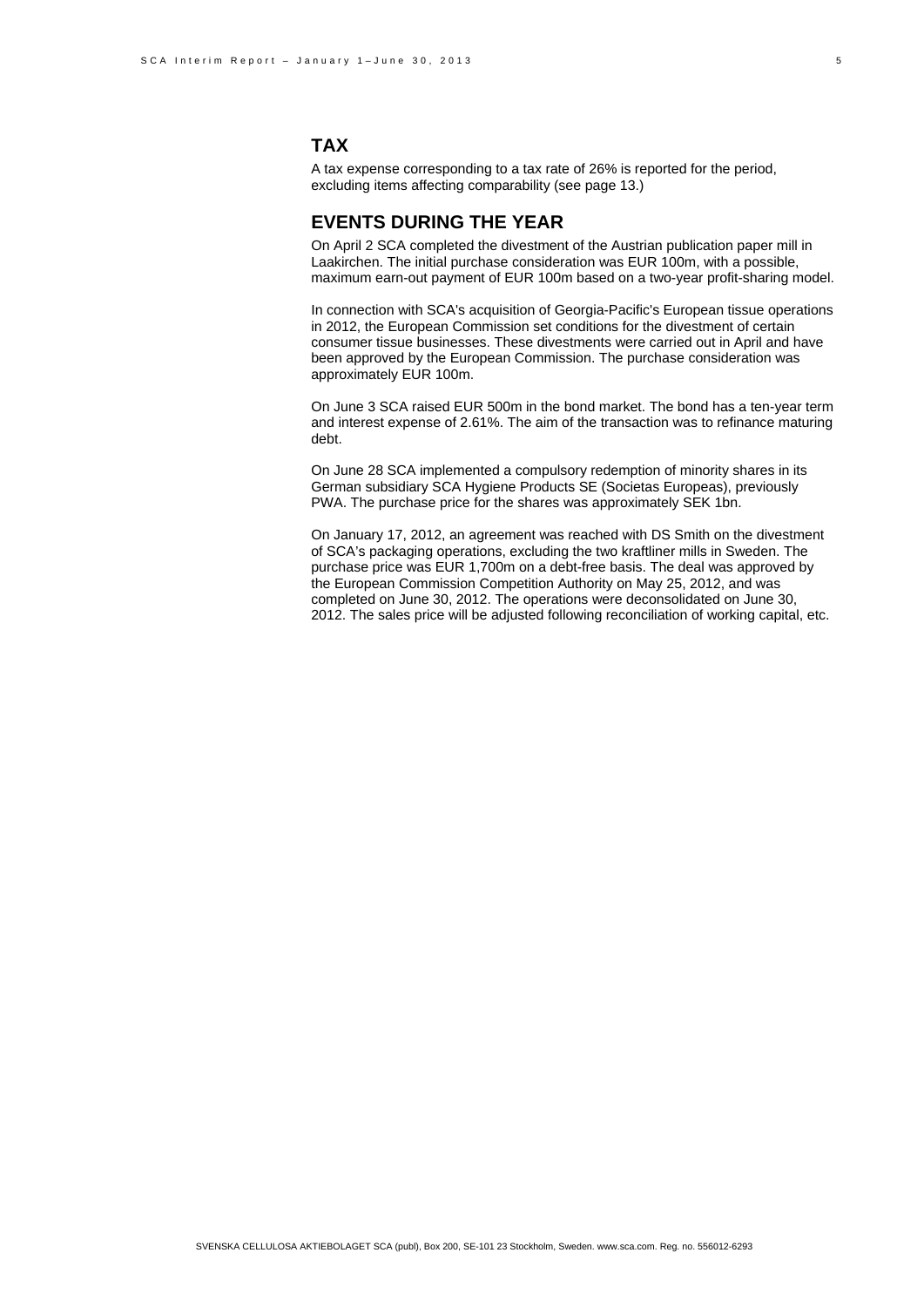### **TAX**

A tax expense corresponding to a tax rate of 26% is reported for the period, excluding items affecting comparability (see page 13.)

### **EVENTS DURING THE YEAR**

On April 2 SCA completed the divestment of the Austrian publication paper mill in Laakirchen. The initial purchase consideration was EUR 100m, with a possible, maximum earn-out payment of EUR 100m based on a two-year profit-sharing model.

In connection with SCA's acquisition of Georgia-Pacific's European tissue operations in 2012, the European Commission set conditions for the divestment of certain consumer tissue businesses. These divestments were carried out in April and have been approved by the European Commission. The purchase consideration was approximately EUR 100m.

On June 3 SCA raised EUR 500m in the bond market. The bond has a ten-year term and interest expense of 2.61%. The aim of the transaction was to refinance maturing debt.

On June 28 SCA implemented a compulsory redemption of minority shares in its German subsidiary SCA Hygiene Products SE (Societas Europeas), previously PWA. The purchase price for the shares was approximately SEK 1bn.

On January 17, 2012, an agreement was reached with DS Smith on the divestment of SCA's packaging operations, excluding the two kraftliner mills in Sweden. The purchase price was EUR 1,700m on a debt-free basis. The deal was approved by the European Commission Competition Authority on May 25, 2012, and was completed on June 30, 2012. The operations were deconsolidated on June 30, 2012. The sales price will be adjusted following reconciliation of working capital, etc.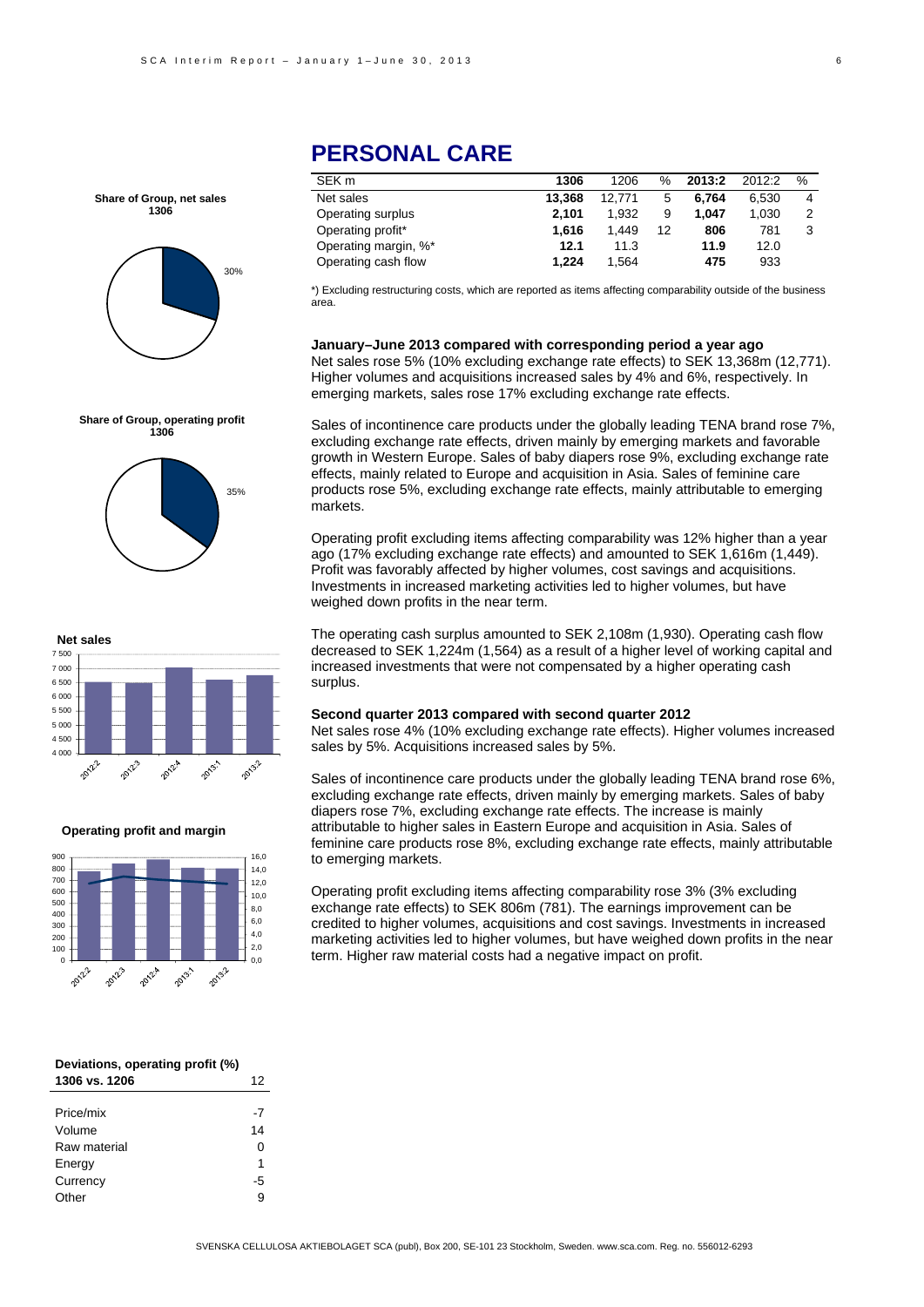

### **Share of Group, operating profit 1306**





#### **Operating profit and margin**



| Deviations, operating profit (%) |      |
|----------------------------------|------|
| 1306 vs. 1206                    | 12   |
|                                  |      |
| Price/mix                        | $-7$ |
| Volume                           | 14   |
| Raw material                     | 0    |
| Energy                           | 1    |
| Currency                         | -5   |
| )ther                            | g    |

# **PERSONAL CARE**

| SEK m                | 1306   | 1206   | ℅  | 2013:2 | 2012:2 | % |
|----------------------|--------|--------|----|--------|--------|---|
| Net sales            | 13.368 | 12.771 | 5  | 6.764  | 6.530  | 4 |
| Operating surplus    | 2.101  | 1.932  | 9  | 1.047  | 1.030  | 2 |
| Operating profit*    | 1.616  | 1.449  | 12 | 806    | 781    | 3 |
| Operating margin, %* | 12.1   | 11.3   |    | 11.9   | 12.0   |   |
| Operating cash flow  | 1.224  | 1.564  |    | 475    | 933    |   |

\*) Excluding restructuring costs, which are reported as items affecting comparability outside of the business area.

#### **January–June 2013 compared with corresponding period a year ago**

Net sales rose 5% (10% excluding exchange rate effects) to SEK 13,368m (12,771). Higher volumes and acquisitions increased sales by 4% and 6%, respectively. In emerging markets, sales rose 17% excluding exchange rate effects.

Sales of incontinence care products under the globally leading TENA brand rose 7%, excluding exchange rate effects, driven mainly by emerging markets and favorable growth in Western Europe. Sales of baby diapers rose 9%, excluding exchange rate effects, mainly related to Europe and acquisition in Asia. Sales of feminine care products rose 5%, excluding exchange rate effects, mainly attributable to emerging markets.

Operating profit excluding items affecting comparability was 12% higher than a year ago (17% excluding exchange rate effects) and amounted to SEK 1,616m (1,449). Profit was favorably affected by higher volumes, cost savings and acquisitions. Investments in increased marketing activities led to higher volumes, but have weighed down profits in the near term.

The operating cash surplus amounted to SEK 2,108m (1,930). Operating cash flow decreased to SEK 1,224m (1,564) as a result of a higher level of working capital and increased investments that were not compensated by a higher operating cash surplus.

#### **Second quarter 2013 compared with second quarter 2012**

Net sales rose 4% (10% excluding exchange rate effects). Higher volumes increased sales by 5%. Acquisitions increased sales by 5%.

Sales of incontinence care products under the globally leading TENA brand rose 6%, excluding exchange rate effects, driven mainly by emerging markets. Sales of baby diapers rose 7%, excluding exchange rate effects. The increase is mainly attributable to higher sales in Eastern Europe and acquisition in Asia. Sales of feminine care products rose 8%, excluding exchange rate effects, mainly attributable to emerging markets.

Operating profit excluding items affecting comparability rose 3% (3% excluding exchange rate effects) to SEK 806m (781). The earnings improvement can be credited to higher volumes, acquisitions and cost savings. Investments in increased marketing activities led to higher volumes, but have weighed down profits in the near term. Higher raw material costs had a negative impact on profit.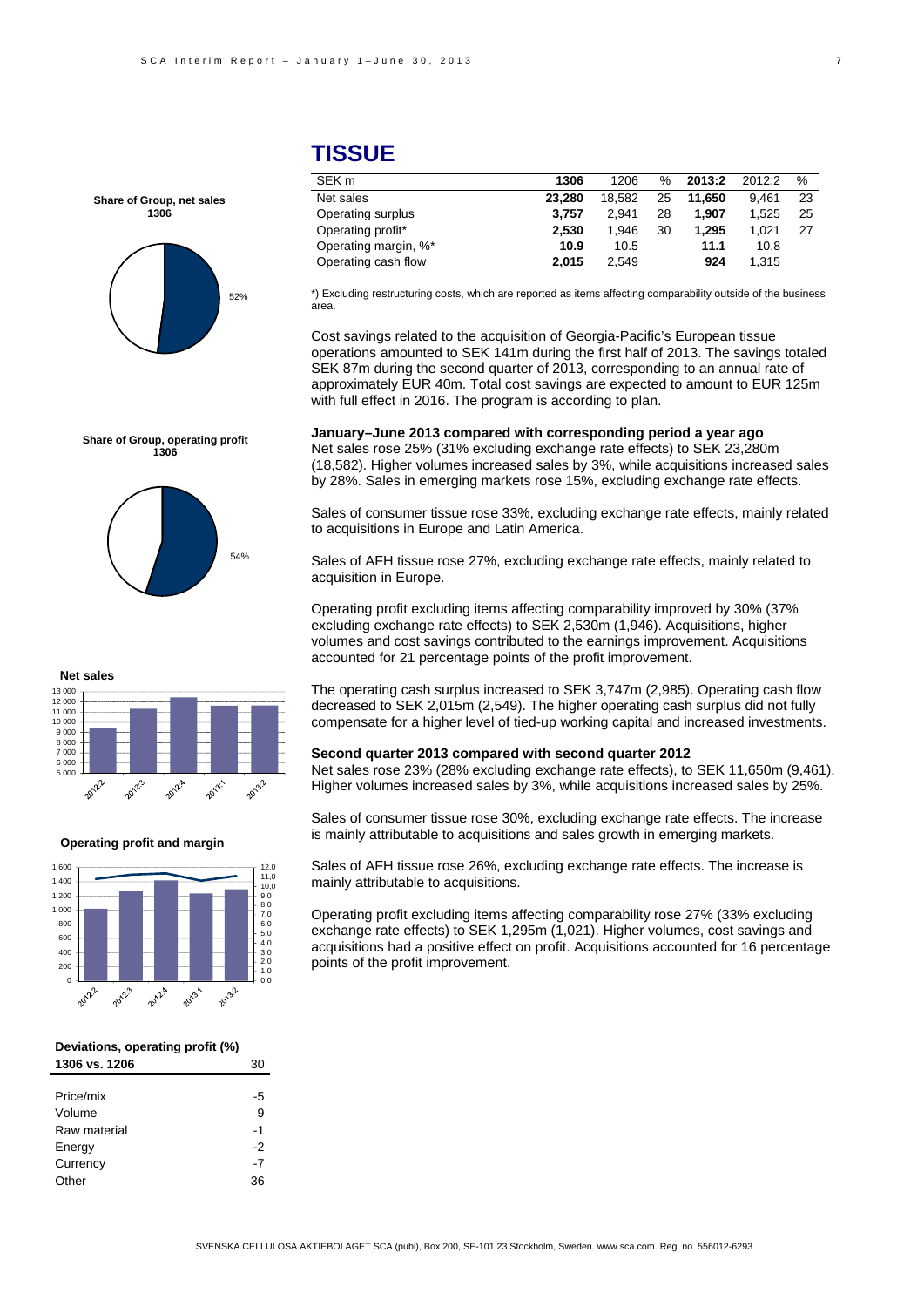# 52% **Share of Group, net sales 1306**

#### **Share of Group, operating profit 1306**



# **TISSUE**

| SEK m                | 1306   | 1206   | $\%$ | 2013:2 | 2012:2 | $\%$ |
|----------------------|--------|--------|------|--------|--------|------|
| Net sales            | 23.280 | 18.582 | 25   | 11.650 | 9.461  | 23   |
| Operating surplus    | 3.757  | 2.941  | 28   | 1.907  | 1.525  | 25   |
| Operating profit*    | 2.530  | 1.946  | 30   | 1.295  | 1.021  | 27   |
| Operating margin, %* | 10.9   | 10.5   |      | 11.1   | 10.8   |      |
| Operating cash flow  | 2.015  | 2.549  |      | 924    | 1.315  |      |
|                      |        |        |      |        |        |      |

\*) Excluding restructuring costs, which are reported as items affecting comparability outside of the business area.

Cost savings related to the acquisition of Georgia-Pacific's European tissue operations amounted to SEK 141m during the first half of 2013. The savings totaled SEK 87m during the second quarter of 2013, corresponding to an annual rate of approximately EUR 40m. Total cost savings are expected to amount to EUR 125m with full effect in 2016. The program is according to plan.

### **January–June 2013 compared with corresponding period a year ago**

Net sales rose 25% (31% excluding exchange rate effects) to SEK 23,280m (18,582). Higher volumes increased sales by 3%, while acquisitions increased sales by 28%. Sales in emerging markets rose 15%, excluding exchange rate effects.

Sales of consumer tissue rose 33%, excluding exchange rate effects, mainly related to acquisitions in Europe and Latin America.

Sales of AFH tissue rose 27%, excluding exchange rate effects, mainly related to acquisition in Europe.

Operating profit excluding items affecting comparability improved by 30% (37% excluding exchange rate effects) to SEK 2,530m (1,946). Acquisitions, higher volumes and cost savings contributed to the earnings improvement. Acquisitions accounted for 21 percentage points of the profit improvement.



#### **Operating profit and margin**



#### **Deviations, operating profit (%) 1306 vs. 1206** 30

| Price/mix    | -5   |
|--------------|------|
| Volume       | 9    |
| Raw material | $-1$ |
| Energy       | -2   |
| Currency     | $-7$ |
| Other        | 36   |

#### The operating cash surplus increased to SEK 3,747m (2,985). Operating cash flow decreased to SEK 2,015m (2,549). The higher operating cash surplus did not fully compensate for a higher level of tied-up working capital and increased investments.

#### **Second quarter 2013 compared with second quarter 2012**

Net sales rose 23% (28% excluding exchange rate effects), to SEK 11,650m (9,461). Higher volumes increased sales by 3%, while acquisitions increased sales by 25%.

Sales of consumer tissue rose 30%, excluding exchange rate effects. The increase is mainly attributable to acquisitions and sales growth in emerging markets.

Sales of AFH tissue rose 26%, excluding exchange rate effects. The increase is mainly attributable to acquisitions.

Operating profit excluding items affecting comparability rose 27% (33% excluding exchange rate effects) to SEK 1,295m (1,021). Higher volumes, cost savings and acquisitions had a positive effect on profit. Acquisitions accounted for 16 percentage points of the profit improvement.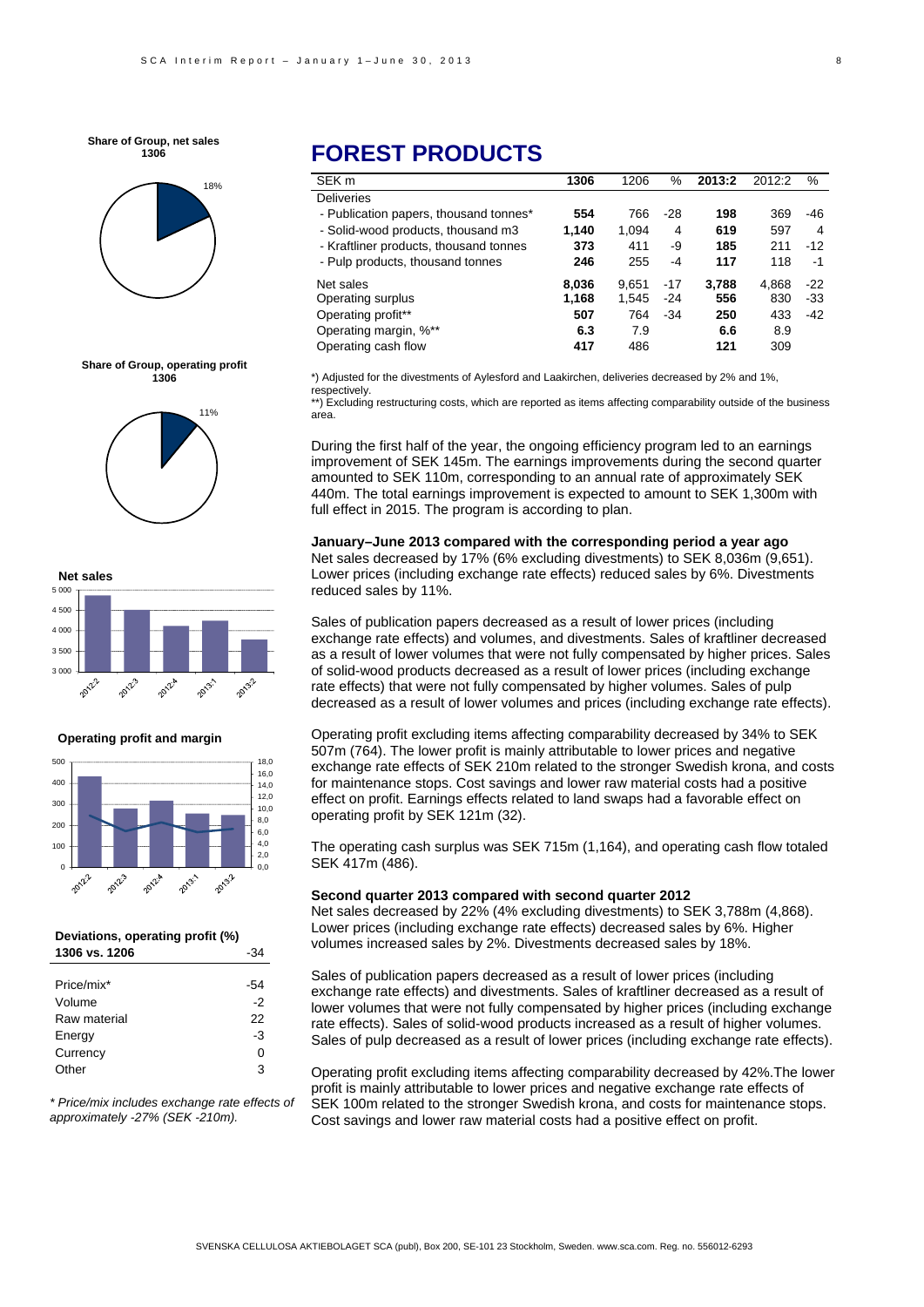**Share of Group, net sales 1306**









#### **Operating profit and margin**



#### **Deviations, operating profit (%) 1306 vs. 1206** -34

| Price/mix*   | -54 |
|--------------|-----|
| Volume       | -2  |
| Raw material | 22  |
| Energy       | -3  |
| Currency     | ი   |
| Other        | з   |

*\* Price/mix includes exchange rate effects of approximately -27% (SEK -210m).* 

# **FOREST PRODUCTS**

| SEK <sub>m</sub>                       | 1306  | 1206  | %     | 2013:2 | 2012:2 | %     |
|----------------------------------------|-------|-------|-------|--------|--------|-------|
| <b>Deliveries</b>                      |       |       |       |        |        |       |
| - Publication papers, thousand tonnes* | 554   | 766   | $-28$ | 198    | 369    | -46   |
| - Solid-wood products, thousand m3     | 1.140 | 1.094 | 4     | 619    | 597    | 4     |
| - Kraftliner products, thousand tonnes | 373   | 411   | -9    | 185    | 211    | $-12$ |
| - Pulp products, thousand tonnes       | 246   | 255   | -4    | 117    | 118    | -1    |
| Net sales                              | 8.036 | 9.651 | $-17$ | 3.788  | 4.868  | $-22$ |
| Operating surplus                      | 1,168 | 1,545 | $-24$ | 556    | 830    | $-33$ |
| Operating profit**                     | 507   | 764   | $-34$ | 250    | 433    | $-42$ |
| Operating margin, %**                  | 6.3   | 7.9   |       | 6.6    | 8.9    |       |
| Operating cash flow                    | 417   | 486   |       | 121    | 309    |       |

\*) Adjusted for the divestments of Aylesford and Laakirchen, deliveries decreased by 2% and 1%, respectively.

\*\*) Excluding restructuring costs, which are reported as items affecting comparability outside of the business area.

During the first half of the year, the ongoing efficiency program led to an earnings improvement of SEK 145m. The earnings improvements during the second quarter amounted to SEK 110m, corresponding to an annual rate of approximately SEK 440m. The total earnings improvement is expected to amount to SEK 1,300m with full effect in 2015. The program is according to plan.

**January–June 2013 compared with the corresponding period a year ago**  Net sales decreased by 17% (6% excluding divestments) to SEK 8,036m (9,651). Lower prices (including exchange rate effects) reduced sales by 6%. Divestments reduced sales by 11%.

Sales of publication papers decreased as a result of lower prices (including exchange rate effects) and volumes, and divestments. Sales of kraftliner decreased as a result of lower volumes that were not fully compensated by higher prices. Sales of solid-wood products decreased as a result of lower prices (including exchange rate effects) that were not fully compensated by higher volumes. Sales of pulp decreased as a result of lower volumes and prices (including exchange rate effects).

Operating profit excluding items affecting comparability decreased by 34% to SEK 507m (764). The lower profit is mainly attributable to lower prices and negative exchange rate effects of SEK 210m related to the stronger Swedish krona, and costs for maintenance stops. Cost savings and lower raw material costs had a positive effect on profit. Earnings effects related to land swaps had a favorable effect on operating profit by SEK 121m (32).

The operating cash surplus was SEK 715m (1,164), and operating cash flow totaled SEK 417m (486).

#### **Second quarter 2013 compared with second quarter 2012**

Net sales decreased by 22% (4% excluding divestments) to SEK 3,788m (4,868). Lower prices (including exchange rate effects) decreased sales by 6%. Higher volumes increased sales by 2%. Divestments decreased sales by 18%.

Sales of publication papers decreased as a result of lower prices (including exchange rate effects) and divestments. Sales of kraftliner decreased as a result of lower volumes that were not fully compensated by higher prices (including exchange rate effects). Sales of solid-wood products increased as a result of higher volumes. Sales of pulp decreased as a result of lower prices (including exchange rate effects).

Operating profit excluding items affecting comparability decreased by 42%.The lower profit is mainly attributable to lower prices and negative exchange rate effects of SEK 100m related to the stronger Swedish krona, and costs for maintenance stops. Cost savings and lower raw material costs had a positive effect on profit.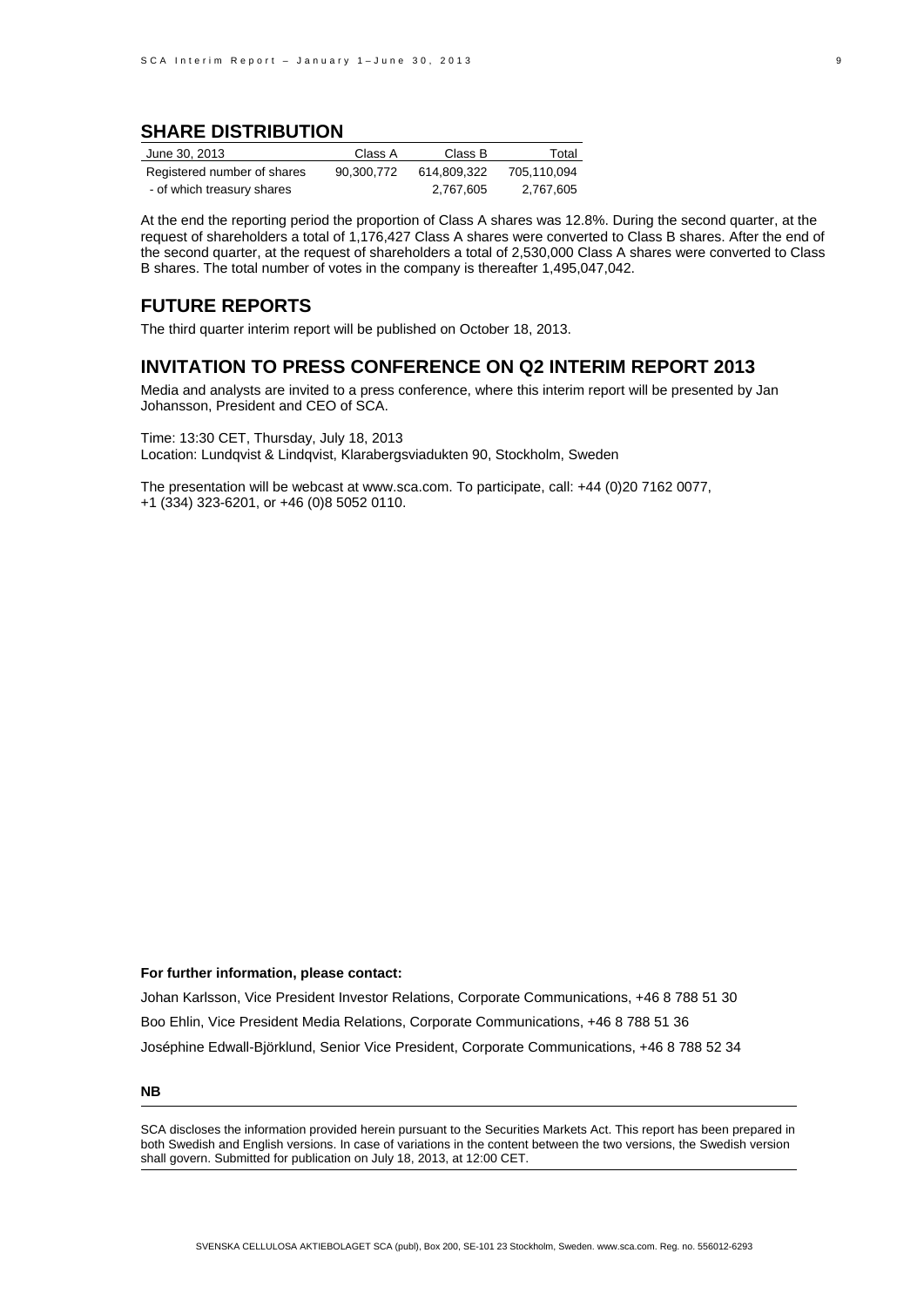### **SHARE DISTRIBUTION**

| June 30, 2013               | Class A    | Class B     | Total       |
|-----------------------------|------------|-------------|-------------|
| Registered number of shares | 90.300.772 | 614.809.322 | 705.110.094 |
| - of which treasury shares  |            | 2.767.605   | 2.767.605   |

At the end the reporting period the proportion of Class A shares was 12.8%. During the second quarter, at the request of shareholders a total of 1,176,427 Class A shares were converted to Class B shares. After the end of the second quarter, at the request of shareholders a total of 2,530,000 Class A shares were converted to Class B shares. The total number of votes in the company is thereafter 1,495,047,042.

### **FUTURE REPORTS**

The third quarter interim report will be published on October 18, 2013.

### **INVITATION TO PRESS CONFERENCE ON Q2 INTERIM REPORT 2013**

Media and analysts are invited to a press conference, where this interim report will be presented by Jan Johansson, President and CEO of SCA.

Time: 13:30 CET, Thursday, July 18, 2013 Location: Lundqvist & Lindqvist, Klarabergsviadukten 90, Stockholm, Sweden

The presentation will be webcast at www.sca.com. To participate, call: +44 (0)20 7162 0077, +1 (334) 323-6201, or +46 (0)8 5052 0110.

#### **For further information, please contact:**

Johan Karlsson, Vice President Investor Relations, Corporate Communications, +46 8 788 51 30 Boo Ehlin, Vice President Media Relations, Corporate Communications, +46 8 788 51 36 Joséphine Edwall-Björklund, Senior Vice President, Corporate Communications, +46 8 788 52 34

**NB** 

SCA discloses the information provided herein pursuant to the Securities Markets Act. This report has been prepared in both Swedish and English versions. In case of variations in the content between the two versions, the Swedish version shall govern. Submitted for publication on July 18, 2013, at 12:00 CET.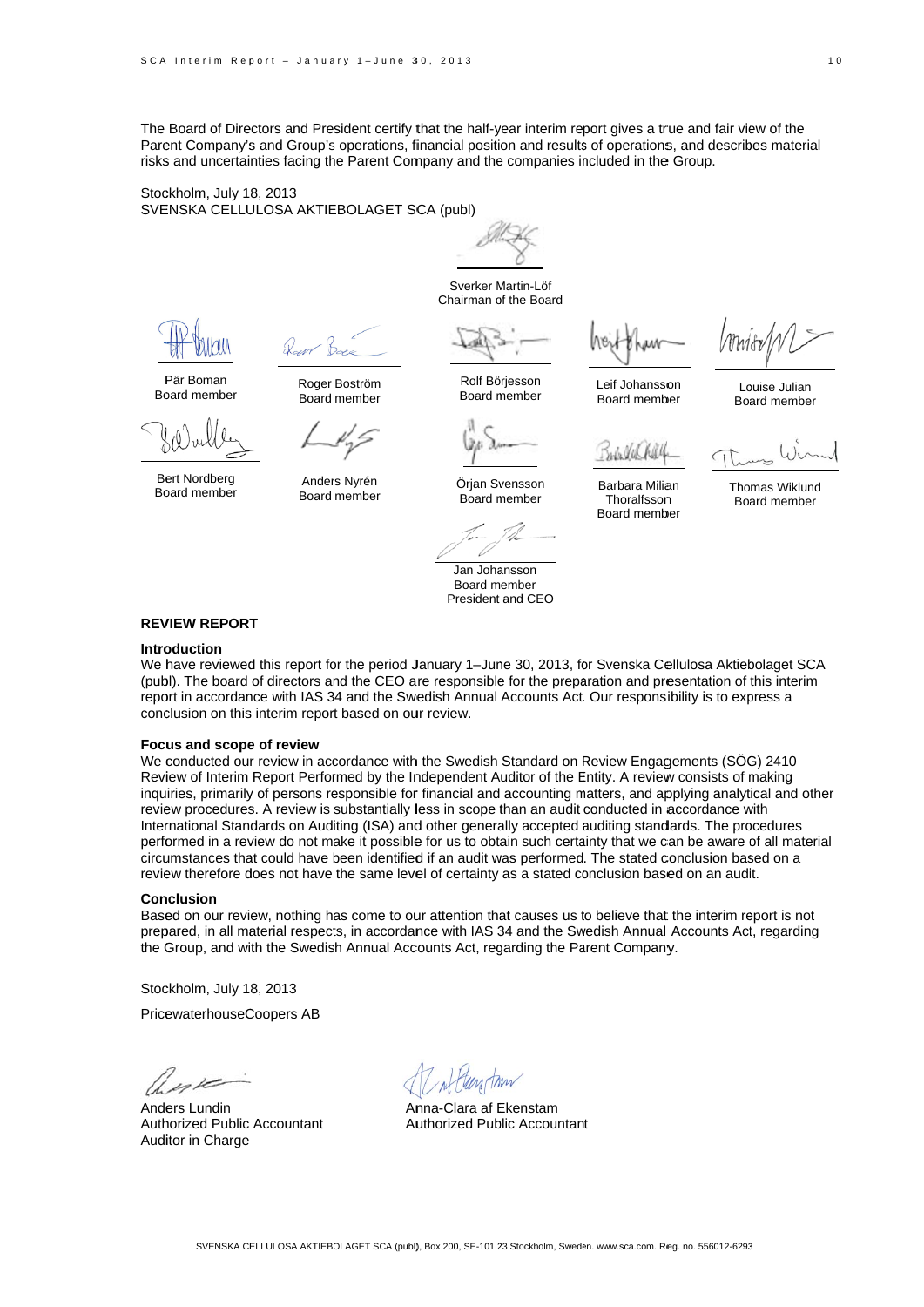The Board of Directors and President certify that the half-year interim report gives a true and fair view of the Parent Company's and Group's operations, financial position and results of operations, and describes material risks and uncertainties facing the Parent Company and the companies included in the Group.

Stockholm, July 18, 2013 SVENSKA CELLULOSA AKTIEBOLAGET SCA (publ)



Sverker M Martin-Löf Chairman of the Board

Rolf Bö rjesson Board m member

ber Lo Boa ard member ouise Julian

P Pär Boman Bo oard member

Bert Nordberg Bo oard member

Anders Nyrén Board member

Roger Boström Board member

Örjan Svensson Board m member

Jan Joha ansson Board m ember President and CEO

Leif Johansson Board memb

July VIA

Barbara Milia an **Thoralfsson** Board memb ber

Tho mas Wiklund Boa ard member

#### **REV VIEW REPORT T**

#### **Intro oduction**

We have reviewed this report for the period January 1–June 30, 2013, for Svenska Cellulosa Aktiebolaget SCA (publ). The board of directors and the CEO are responsible for the preparation and presentation of this interim report in accordance with IAS 34 and the Swedish Annual Accounts Act. Our responsibility is to express a conclusion on this interim report based on our review.

#### **Focus and scope of review**

We conducted our review in accordance with the Swedish Standard on Review Engagements (SÖG) 2410 Review of Interim Report Performed by the Independent Auditor of the Entity. A review consists of making inquiries, primarily of persons responsible for financial and accounting matters, and applying analytical and other review procedures. A review is substantially less in scope than an audit conducted in accordance with International Standards on Auditing (ISA) and other generally accepted auditing standards. The procedures performed in a review do not make it possible for us to obtain such certainty that we can be aware of all material circumstances that could have been identified if an audit was performed. The stated conclusion based on a review therefore does not have the same level of certainty as a stated conclusion based on an audit.

#### **Con nclusion**

Based on our review, nothing has come to our attention that causes us to believe that the interim report is not prepared, in all material respects, in accordance with IAS 34 and the Swedish Annual Accounts Act, regarding the Group, and with the Swedish Annual Accounts Act, regarding the Parent Company.

Stockholm, July 18, 2013

PricewaterhouseCoopers AB

Anders Lundin Auth horized Public Accountant Auditor in Charge

An nna-Clara af E Ekenstam Authorized Public Accountant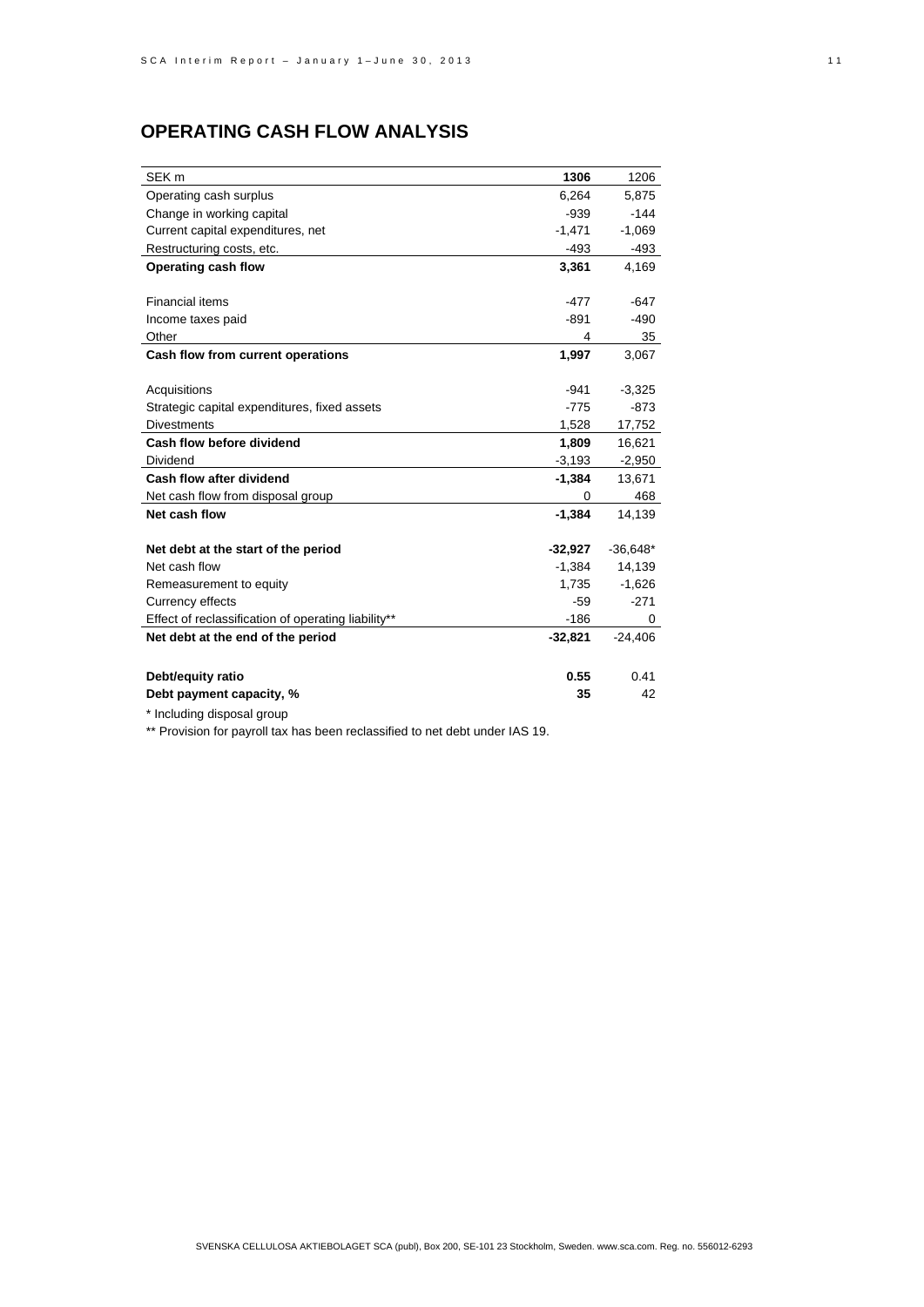# **OPERATING CASH FLOW ANALYSIS**

| SEK <sub>m</sub>                                    | 1306      | 1206       |
|-----------------------------------------------------|-----------|------------|
| Operating cash surplus                              | 6,264     | 5,875      |
| Change in working capital                           | $-939$    | $-144$     |
| Current capital expenditures, net                   | $-1,471$  | $-1,069$   |
| Restructuring costs, etc.                           | -493      | $-493$     |
| Operating cash flow                                 | 3,361     | 4,169      |
|                                                     |           |            |
| <b>Financial items</b>                              | $-477$    | $-647$     |
| Income taxes paid                                   | $-891$    | $-490$     |
| Other                                               | 4         | 35         |
| Cash flow from current operations                   | 1.997     | 3.067      |
|                                                     |           |            |
| Acquisitions                                        | $-941$    | $-3,325$   |
| Strategic capital expenditures, fixed assets        | $-775$    | $-873$     |
| <b>Divestments</b>                                  | 1,528     | 17,752     |
| Cash flow before dividend                           | 1,809     | 16,621     |
| Dividend                                            | $-3,193$  | $-2,950$   |
| Cash flow after dividend                            | $-1,384$  | 13,671     |
| Net cash flow from disposal group                   | 0         | 468        |
| Net cash flow                                       | $-1,384$  | 14,139     |
|                                                     |           |            |
| Net debt at the start of the period                 | $-32,927$ | $-36,648*$ |
| Net cash flow                                       | $-1.384$  | 14,139     |
| Remeasurement to equity                             | 1,735     | $-1,626$   |
| Currency effects                                    | $-59$     | $-271$     |
| Effect of reclassification of operating liability** | $-186$    | 0          |
| Net debt at the end of the period                   | $-32,821$ | $-24,406$  |
|                                                     |           |            |
| Debt/equity ratio                                   | 0.55      | 0.41       |
| Debt payment capacity, %                            | 35        | 42         |

\* Including disposal group

\*\* Provision for payroll tax has been reclassified to net debt under IAS 19.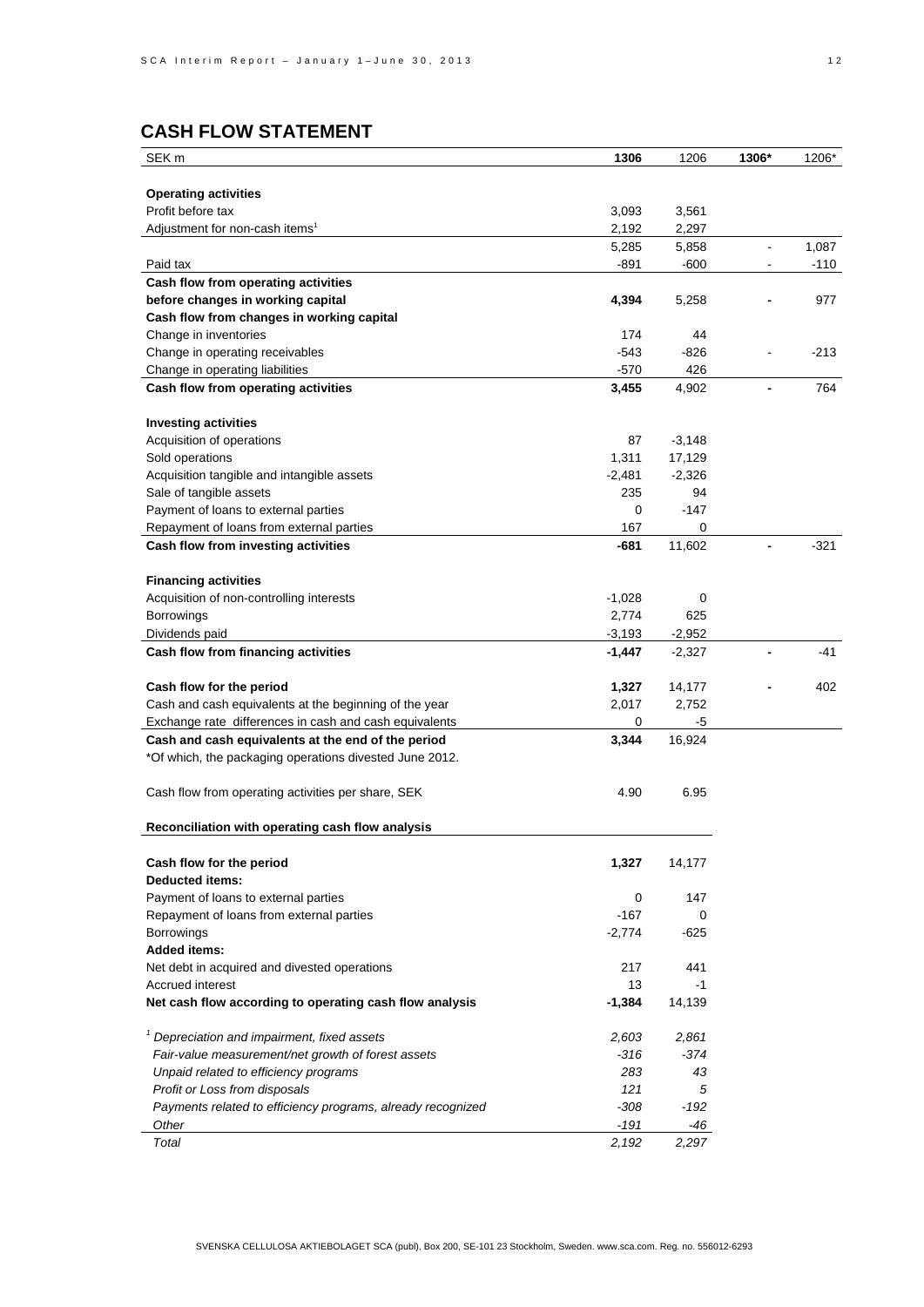# **CASH FLOW STATEMENT**

| SEK <sub>m</sub>                                            | 1306     | 1206     | 1306*          | 1206*  |
|-------------------------------------------------------------|----------|----------|----------------|--------|
|                                                             |          |          |                |        |
| <b>Operating activities</b>                                 |          |          |                |        |
| Profit before tax                                           | 3,093    | 3,561    |                |        |
| Adjustment for non-cash items <sup>1</sup>                  | 2,192    | 2,297    |                |        |
|                                                             | 5,285    | 5,858    | $\blacksquare$ | 1,087  |
| Paid tax                                                    | -891     | -600     | $\blacksquare$ | $-110$ |
| Cash flow from operating activities                         |          |          |                |        |
| before changes in working capital                           | 4,394    | 5,258    |                | 977    |
| Cash flow from changes in working capital                   |          |          |                |        |
| Change in inventories                                       | 174      | 44       |                |        |
| Change in operating receivables                             | -543     | -826     |                | $-213$ |
| Change in operating liabilities                             | $-570$   | 426      |                |        |
| Cash flow from operating activities                         | 3,455    | 4,902    | $\blacksquare$ | 764    |
|                                                             |          |          |                |        |
| <b>Investing activities</b>                                 |          |          |                |        |
| Acquisition of operations                                   | 87       | $-3,148$ |                |        |
| Sold operations                                             | 1,311    | 17,129   |                |        |
| Acquisition tangible and intangible assets                  | $-2,481$ | $-2,326$ |                |        |
| Sale of tangible assets                                     | 235      | 94       |                |        |
| Payment of loans to external parties                        | 0        | $-147$   |                |        |
| Repayment of loans from external parties                    | 167      | 0        |                |        |
| Cash flow from investing activities                         | -681     | 11,602   |                | $-321$ |
| <b>Financing activities</b>                                 |          |          |                |        |
| Acquisition of non-controlling interests                    | $-1,028$ | 0        |                |        |
| <b>Borrowings</b>                                           | 2,774    | 625      |                |        |
| Dividends paid                                              | $-3,193$ | $-2,952$ |                |        |
| Cash flow from financing activities                         | $-1,447$ | $-2,327$ |                | -41    |
|                                                             |          |          |                |        |
| Cash flow for the period                                    | 1,327    | 14,177   |                | 402    |
| Cash and cash equivalents at the beginning of the year      | 2,017    | 2,752    |                |        |
| Exchange rate differences in cash and cash equivalents      | 0        | $-5$     |                |        |
| Cash and cash equivalents at the end of the period          | 3,344    | 16,924   |                |        |
| *Of which, the packaging operations divested June 2012.     |          |          |                |        |
|                                                             |          |          |                |        |
| Cash flow from operating activities per share, SEK          | 4.90     | 6.95     |                |        |
|                                                             |          |          |                |        |
| Reconciliation with operating cash flow analysis            |          |          |                |        |
| Cash flow for the period                                    | 1,327    | 14,177   |                |        |
| <b>Deducted items:</b>                                      |          |          |                |        |
| Payment of loans to external parties                        | 0        | 147      |                |        |
| Repayment of loans from external parties                    | -167     | 0        |                |        |
| <b>Borrowings</b>                                           | $-2,774$ | $-625$   |                |        |
| <b>Added items:</b>                                         |          |          |                |        |
| Net debt in acquired and divested operations                | 217      | 441      |                |        |
| Accrued interest                                            | 13       | $-1$     |                |        |
| Net cash flow according to operating cash flow analysis     | $-1.384$ | 14,139   |                |        |
|                                                             |          |          |                |        |
| <sup>1</sup> Depreciation and impairment, fixed assets      | 2,603    | 2,861    |                |        |
| Fair-value measurement/net growth of forest assets          | $-316$   | $-374$   |                |        |
| Unpaid related to efficiency programs                       | 283      | 43       |                |        |
| Profit or Loss from disposals                               | 121      | 5        |                |        |
| Payments related to efficiency programs, already recognized | $-308$   | $-192$   |                |        |
| Other                                                       | $-191$   | -46      |                |        |
| Total                                                       | 2,192    | 2,297    |                |        |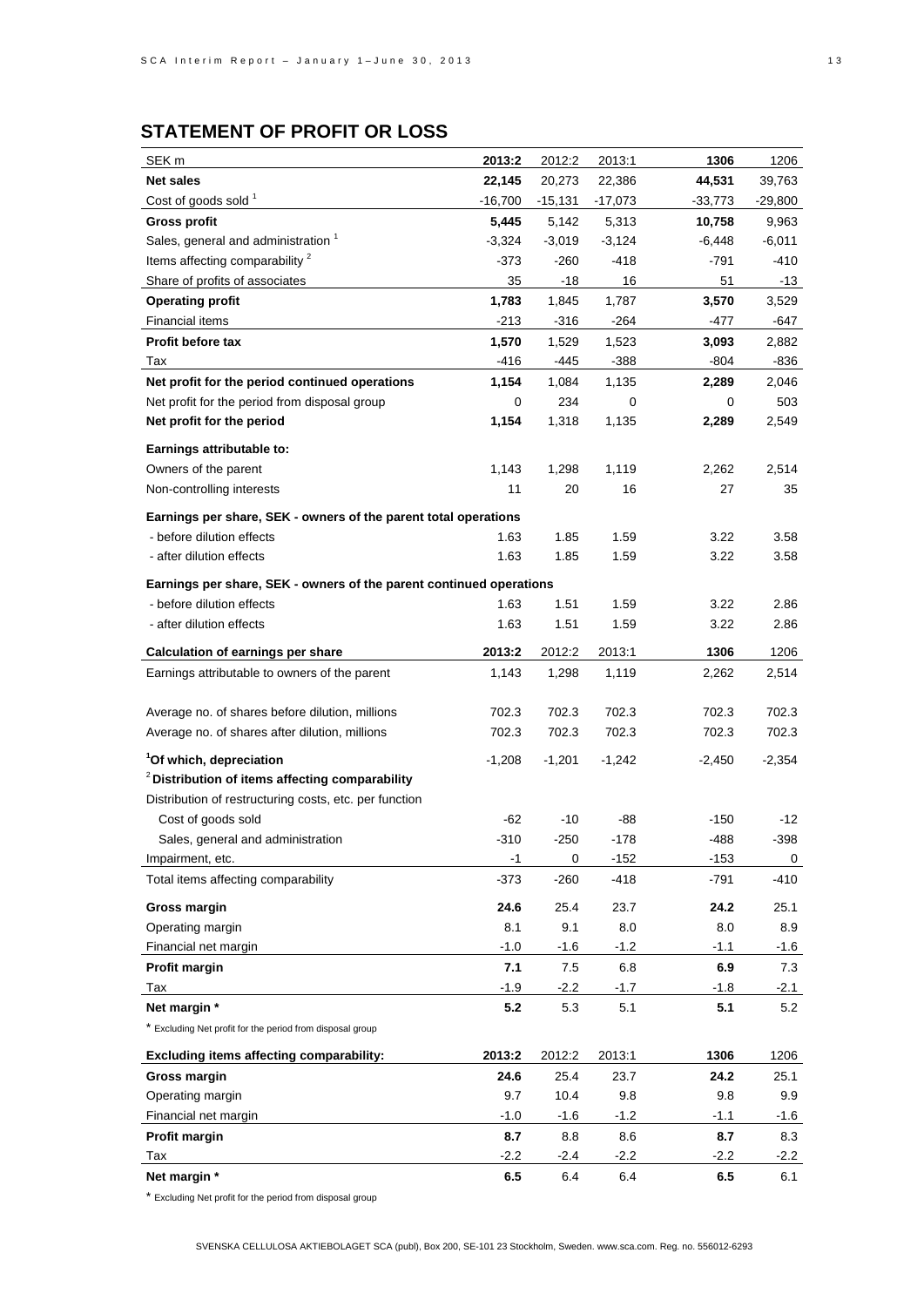| SEK <sub>m</sub>                                                                         | 2013:2    | 2012:2   | 2013:1    | 1306      | 1206      |
|------------------------------------------------------------------------------------------|-----------|----------|-----------|-----------|-----------|
| <b>Net sales</b>                                                                         | 22,145    | 20,273   | 22,386    | 44,531    | 39,763    |
| Cost of goods sold <sup>1</sup>                                                          | $-16,700$ | -15,131  | $-17,073$ | $-33,773$ | $-29,800$ |
| <b>Gross profit</b>                                                                      | 5,445     | 5,142    | 5,313     | 10,758    | 9,963     |
| Sales, general and administration 1                                                      | $-3,324$  | $-3,019$ | $-3,124$  | $-6,448$  | $-6,011$  |
| Items affecting comparability <sup>2</sup>                                               | -373      | $-260$   | $-418$    | -791      | -410      |
| Share of profits of associates                                                           | 35        | -18      | 16        | 51        | -13       |
| <b>Operating profit</b>                                                                  | 1,783     | 1,845    | 1,787     | 3,570     | 3,529     |
| <b>Financial items</b>                                                                   | $-213$    | $-316$   | -264      | -477      | -647      |
| <b>Profit before tax</b>                                                                 | 1,570     | 1,529    | 1,523     | 3,093     | 2,882     |
| Tax                                                                                      | $-416$    | -445     | $-388$    | $-804$    | -836      |
| Net profit for the period continued operations                                           | 1,154     | 1,084    | 1,135     | 2,289     | 2,046     |
| Net profit for the period from disposal group                                            | 0         | 234      | 0         | 0         | 503       |
| Net profit for the period                                                                | 1,154     | 1,318    | 1,135     | 2,289     | 2,549     |
| Earnings attributable to:                                                                |           |          |           |           |           |
| Owners of the parent                                                                     | 1,143     | 1,298    | 1,119     | 2,262     | 2,514     |
| Non-controlling interests                                                                | 11        | 20       | 16        | 27        | 35        |
|                                                                                          |           |          |           |           |           |
| Earnings per share, SEK - owners of the parent total operations                          |           |          |           |           |           |
| - before dilution effects                                                                | 1.63      | 1.85     | 1.59      | 3.22      | 3.58      |
| - after dilution effects                                                                 | 1.63      | 1.85     | 1.59      | 3.22      | 3.58      |
| Earnings per share, SEK - owners of the parent continued operations                      |           |          |           |           |           |
| - before dilution effects                                                                | 1.63      | 1.51     | 1.59      | 3.22      | 2.86      |
| - after dilution effects                                                                 | 1.63      | 1.51     | 1.59      | 3.22      | 2.86      |
| <b>Calculation of earnings per share</b>                                                 | 2013:2    | 2012:2   | 2013:1    | 1306      | 1206      |
| Earnings attributable to owners of the parent                                            | 1,143     | 1,298    | 1,119     | 2,262     | 2,514     |
|                                                                                          |           |          |           |           |           |
| Average no. of shares before dilution, millions                                          | 702.3     | 702.3    | 702.3     | 702.3     | 702.3     |
| Average no. of shares after dilution, millions                                           | 702.3     | 702.3    | 702.3     | 702.3     | 702.3     |
|                                                                                          |           |          |           |           |           |
| <sup>1</sup> Of which, depreciation<br>$2$ Distribution of items affecting comparability | $-1,208$  | $-1,201$ | $-1,242$  | $-2,450$  | $-2,354$  |
|                                                                                          |           |          |           |           |           |
| Distribution of restructuring costs, etc. per function                                   |           |          |           |           |           |
| Cost of goods sold                                                                       | -62       | $-10$    | -88       | $-150$    | -12       |
| Sales, general and administration                                                        | $-310$    | -250     | -178      | -488      | -398      |
| Impairment, etc.                                                                         | $-1$      | 0        | $-152$    | $-153$    | 0         |
| Total items affecting comparability                                                      | $-373$    | $-260$   | $-418$    | $-791$    | -410      |
| Gross margin                                                                             | 24.6      | 25.4     | 23.7      | 24.2      | 25.1      |
| Operating margin                                                                         | 8.1       | 9.1      | 8.0       | 8.0       | 8.9       |
| Financial net margin                                                                     | $-1.0$    | $-1.6$   | $-1.2$    | $-1.1$    | $-1.6$    |
| Profit margin                                                                            | 7.1       | 7.5      | 6.8       | 6.9       | 7.3       |
| Tax                                                                                      | $-1.9$    | $-2.2$   | $-1.7$    | $-1.8$    | $-2.1$    |
| Net margin *                                                                             | 5.2       | 5.3      | 5.1       | 5.1       | 5.2       |
| * Excluding Net profit for the period from disposal group                                |           |          |           |           |           |
| <b>Excluding items affecting comparability:</b>                                          | 2013:2    | 2012:2   | 2013:1    | 1306      | 1206      |
| Gross margin                                                                             | 24.6      | 25.4     | 23.7      | 24.2      | 25.1      |
| Operating margin                                                                         | 9.7       | 10.4     | 9.8       | 9.8       | 9.9       |
| Financial net margin                                                                     | $-1.0$    | $-1.6$   | $-1.2$    | $-1.1$    | $-1.6$    |
| Profit margin                                                                            | 8.7       | 8.8      | 8.6       | 8.7       | 8.3       |
| Tax                                                                                      | $-2.2$    | $-2.4$   | $-2.2$    | $-2.2$    | $-2.2$    |
| Net margin *                                                                             | 6.5       | 6.4      | 6.4       | 6.5       | 6.1       |

\* Excluding Net profit for the period from disposal group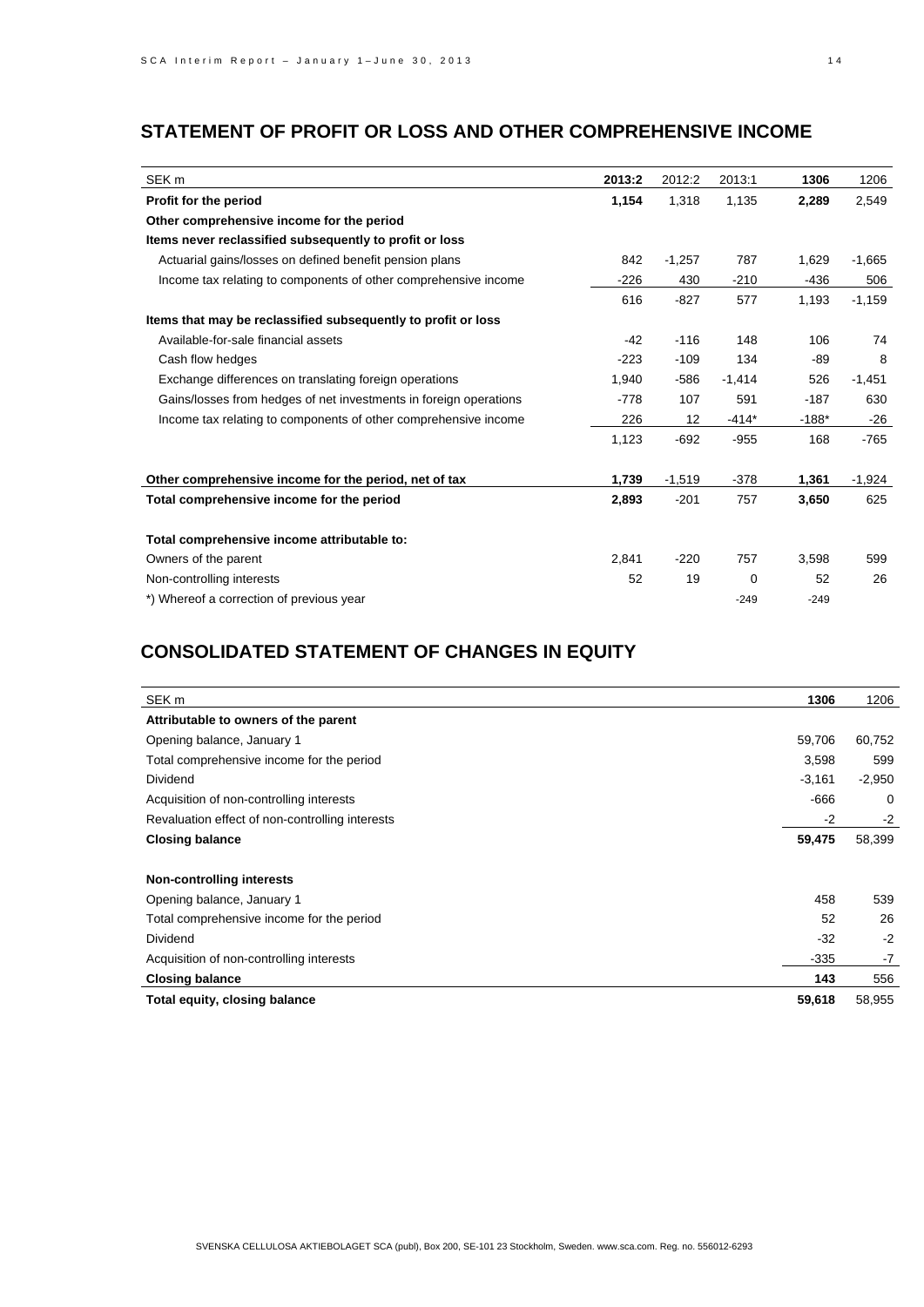# **STATEMENT OF PROFIT OR LOSS AND OTHER COMPREHENSIVE INCOME**

| SEK <sub>m</sub>                                                  | 2013:2 | 2012:2   | 2013:1      | 1306    | 1206     |
|-------------------------------------------------------------------|--------|----------|-------------|---------|----------|
| Profit for the period                                             | 1,154  | 1,318    | 1,135       | 2,289   | 2,549    |
| Other comprehensive income for the period                         |        |          |             |         |          |
| Items never reclassified subsequently to profit or loss           |        |          |             |         |          |
| Actuarial gains/losses on defined benefit pension plans           | 842    | $-1,257$ | 787         | 1,629   | $-1,665$ |
| Income tax relating to components of other comprehensive income   | $-226$ | 430      | $-210$      | $-436$  | 506      |
|                                                                   | 616    | $-827$   | 577         | 1,193   | $-1,159$ |
| Items that may be reclassified subsequently to profit or loss     |        |          |             |         |          |
| Available-for-sale financial assets                               | $-42$  | $-116$   | 148         | 106     | 74       |
| Cash flow hedges                                                  | $-223$ | $-109$   | 134         | $-89$   | 8        |
| Exchange differences on translating foreign operations            | 1,940  | $-586$   | $-1,414$    | 526     | $-1,451$ |
| Gains/losses from hedges of net investments in foreign operations | $-778$ | 107      | 591         | $-187$  | 630      |
| Income tax relating to components of other comprehensive income   | 226    | 12       | $-414*$     | $-188*$ | $-26$    |
|                                                                   | 1,123  | $-692$   | $-955$      | 168     | $-765$   |
| Other comprehensive income for the period, net of tax             | 1,739  | $-1,519$ | $-378$      | 1,361   | $-1,924$ |
| Total comprehensive income for the period                         | 2,893  | $-201$   | 757         | 3,650   | 625      |
| Total comprehensive income attributable to:                       |        |          |             |         |          |
| Owners of the parent                                              | 2,841  | $-220$   | 757         | 3,598   | 599      |
| Non-controlling interests                                         | 52     | 19       | $\mathbf 0$ | 52      | 26       |
| *) Whereof a correction of previous year                          |        |          | $-249$      | $-249$  |          |

# **CONSOLIDATED STATEMENT OF CHANGES IN EQUITY**

| SEK <sub>m</sub>                                | 1306     | 1206     |
|-------------------------------------------------|----------|----------|
| Attributable to owners of the parent            |          |          |
| Opening balance, January 1                      | 59,706   | 60,752   |
| Total comprehensive income for the period       | 3,598    | 599      |
| Dividend                                        | $-3,161$ | $-2,950$ |
| Acquisition of non-controlling interests        | $-666$   | 0        |
| Revaluation effect of non-controlling interests | -2       | $-2$     |
| <b>Closing balance</b>                          | 59,475   | 58,399   |
| <b>Non-controlling interests</b>                |          |          |
| Opening balance, January 1                      | 458      | 539      |
| Total comprehensive income for the period       | 52       | 26       |
| Dividend                                        | $-32$    | $-2$     |
| Acquisition of non-controlling interests        | $-335$   | $-7$     |
| <b>Closing balance</b>                          | 143      | 556      |
| Total equity, closing balance                   | 59,618   | 58,955   |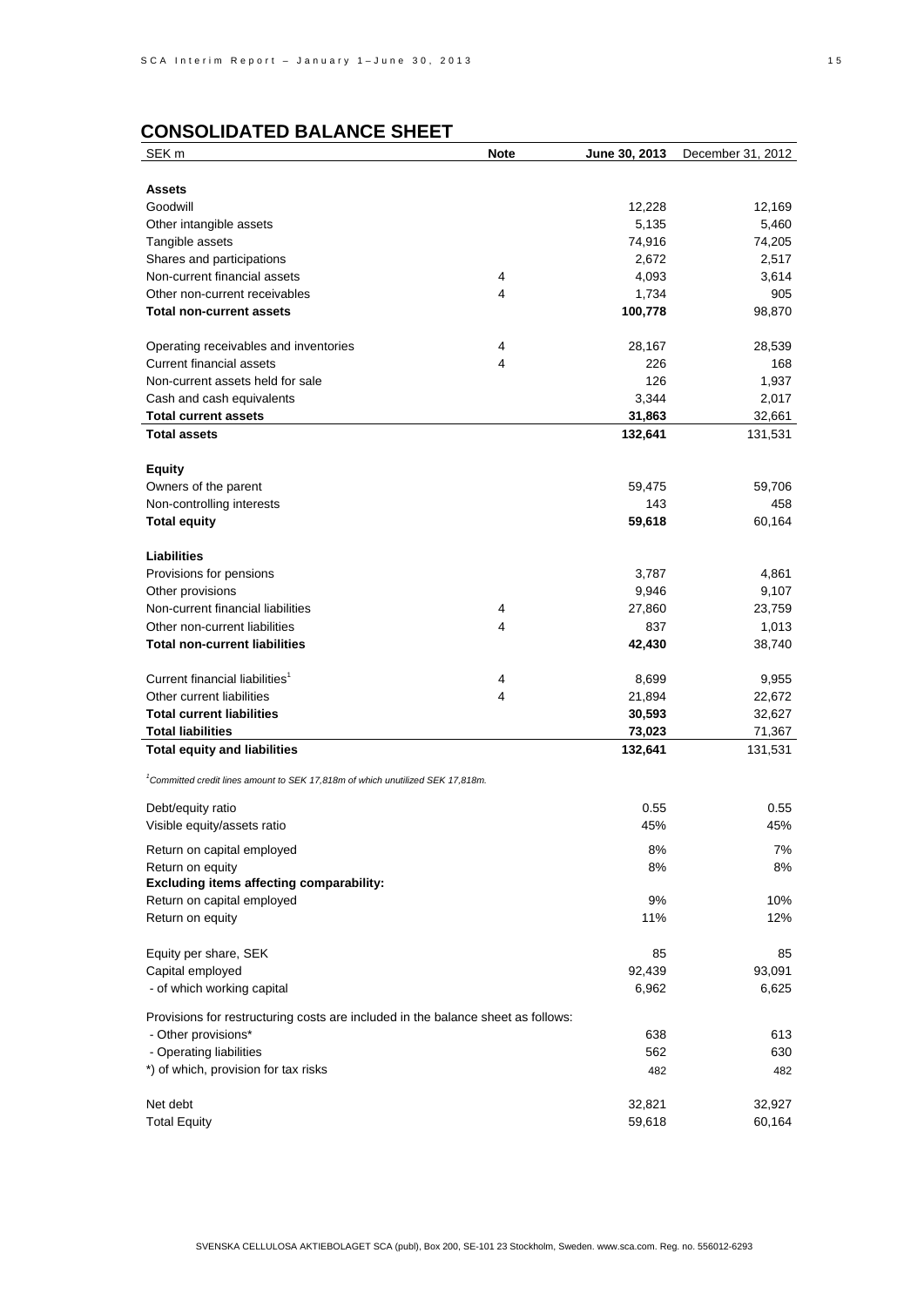# **CONSOLIDATED BALANCE SHEET**

| SEK <sub>m</sub>                                                                           | <b>Note</b> | June 30, 2013 | December 31, 2012 |
|--------------------------------------------------------------------------------------------|-------------|---------------|-------------------|
|                                                                                            |             |               |                   |
| <b>Assets</b>                                                                              |             |               |                   |
| Goodwill                                                                                   |             | 12,228        | 12,169            |
| Other intangible assets                                                                    |             | 5,135         | 5,460             |
| Tangible assets                                                                            |             | 74,916        | 74,205            |
| Shares and participations                                                                  |             | 2,672         | 2,517             |
| Non-current financial assets                                                               | 4           | 4,093         | 3,614             |
| Other non-current receivables                                                              | 4           | 1,734         | 905               |
| <b>Total non-current assets</b>                                                            |             | 100,778       | 98,870            |
|                                                                                            |             |               |                   |
| Operating receivables and inventories                                                      | 4           | 28,167        | 28,539            |
| <b>Current financial assets</b>                                                            | 4           | 226           | 168               |
| Non-current assets held for sale                                                           |             | 126           | 1,937             |
| Cash and cash equivalents                                                                  |             | 3,344         | 2,017             |
| <b>Total current assets</b>                                                                |             | 31,863        | 32,661            |
| <b>Total assets</b>                                                                        |             | 132,641       | 131,531           |
|                                                                                            |             |               |                   |
| <b>Equity</b>                                                                              |             |               |                   |
| Owners of the parent                                                                       |             | 59,475        | 59,706            |
| Non-controlling interests                                                                  |             | 143           | 458               |
| <b>Total equity</b>                                                                        |             | 59,618        | 60,164            |
|                                                                                            |             |               |                   |
| <b>Liabilities</b>                                                                         |             |               |                   |
| Provisions for pensions                                                                    |             | 3,787         | 4,861             |
| Other provisions                                                                           |             | 9,946         | 9,107             |
| Non-current financial liabilities                                                          | 4           | 27,860        | 23,759            |
| Other non-current liabilities                                                              | 4           | 837           | 1,013             |
| <b>Total non-current liabilities</b>                                                       |             | 42,430        | 38,740            |
|                                                                                            |             |               |                   |
| Current financial liabilities <sup>1</sup>                                                 | 4           | 8,699         | 9,955             |
| Other current liabilities                                                                  | 4           | 21,894        | 22,672            |
| <b>Total current liabilities</b>                                                           |             | 30,593        | 32,627            |
| <b>Total liabilities</b>                                                                   |             | 73,023        | 71,367            |
| <b>Total equity and liabilities</b>                                                        |             | 132,641       | 131,531           |
|                                                                                            |             |               |                   |
| <sup>1</sup> Committed credit lines amount to SEK 17,818m of which unutilized SEK 17,818m. |             |               |                   |
|                                                                                            |             |               |                   |
| Debt/equity ratio                                                                          |             | 0.55          | 0.55              |
| Visible equity/assets ratio                                                                |             | 45%           | 45%               |
| Return on capital employed                                                                 |             | 8%            | 7%                |
| Return on equity                                                                           |             | 8%            | 8%                |
| <b>Excluding items affecting comparability:</b>                                            |             |               |                   |
| Return on capital employed                                                                 |             | 9%            | 10%               |
| Return on equity                                                                           |             | 11%           | 12%               |
|                                                                                            |             |               |                   |
| Equity per share, SEK                                                                      |             | 85            | 85                |
| Capital employed                                                                           |             | 92,439        | 93,091            |
| - of which working capital                                                                 |             | 6,962         | 6,625             |
|                                                                                            |             |               |                   |
| Provisions for restructuring costs are included in the balance sheet as follows:           |             |               |                   |
| - Other provisions*                                                                        |             | 638           | 613               |
| - Operating liabilities                                                                    |             | 562           | 630               |
| *) of which, provision for tax risks                                                       |             | 482           | 482               |
|                                                                                            |             |               |                   |
| Net debt                                                                                   |             | 32,821        | 32,927            |
| <b>Total Equity</b>                                                                        |             | 59,618        | 60,164            |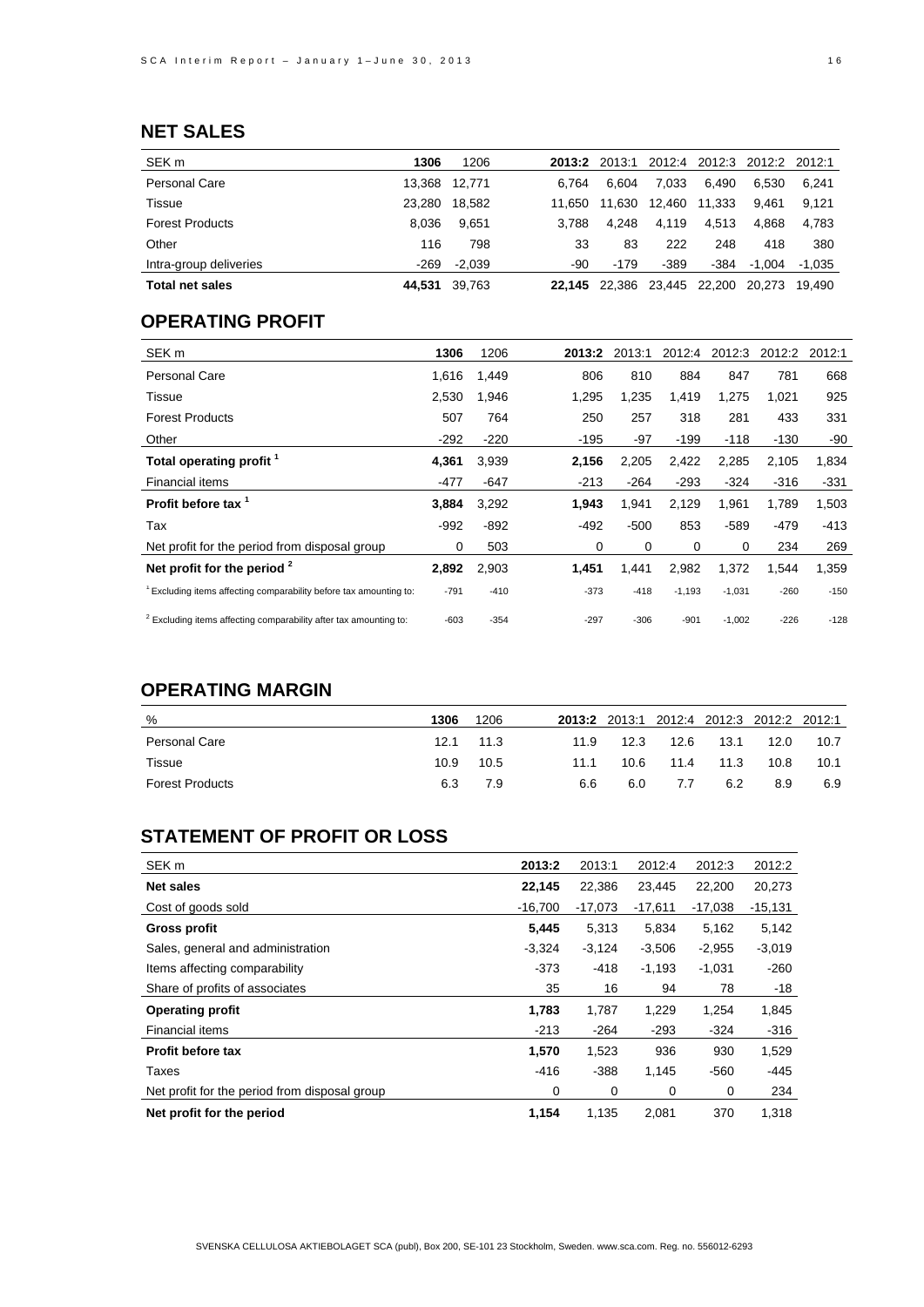# **NET SALES**

| SEK <sub>m</sub>       | 1306   | 1206     | 2013:2 | 2013:1 | 2012:4 | 2012:3 | 2012:2   | 2012:1 |
|------------------------|--------|----------|--------|--------|--------|--------|----------|--------|
| Personal Care          | 13.368 | 12.771   | 6.764  | 6.604  | 7.033  | 6.490  | 6.530    | 6.241  |
| Tissue                 | 23.280 | 18,582   | 11.650 | 11.630 | 12.460 | 11.333 | 9.461    | 9.121  |
| <b>Forest Products</b> | 8.036  | 9.651    | 3.788  | 4.248  | 4.119  | 4.513  | 4.868    | 4.783  |
| Other                  | 116    | 798      | 33     | 83     | 222    | 248    | 418      | 380    |
| Intra-group deliveries | $-269$ | $-2.039$ | -90    | $-179$ | $-389$ | -384   | $-1.004$ | -1.035 |
| <b>Total net sales</b> | 44.531 | 39,763   | 22.145 | 22.386 | 23.445 | 22.200 | 20.273   | 19.490 |

# **OPERATING PROFIT**

| SEK <sub>m</sub>                                                              | 1306   | 1206   | 2013:2 | 2013:1 | 2012:4   | 2012:3   | 2012:2 | 2012:1 |
|-------------------------------------------------------------------------------|--------|--------|--------|--------|----------|----------|--------|--------|
| <b>Personal Care</b>                                                          | 1,616  | 1,449  | 806    | 810    | 884      | 847      | 781    | 668    |
| Tissue                                                                        | 2,530  | 1,946  | 1,295  | 1,235  | 1,419    | 1,275    | 1,021  | 925    |
| <b>Forest Products</b>                                                        | 507    | 764    | 250    | 257    | 318      | 281      | 433    | 331    |
| Other                                                                         | $-292$ | $-220$ | $-195$ | -97    | $-199$   | $-118$   | $-130$ | -90    |
| Total operating profit                                                        | 4,361  | 3,939  | 2,156  | 2,205  | 2,422    | 2,285    | 2,105  | 1,834  |
| <b>Financial items</b>                                                        | $-477$ | -647   | $-213$ | $-264$ | $-293$   | $-324$   | $-316$ | $-331$ |
| Profit before tax <sup>1</sup>                                                | 3,884  | 3,292  | 1,943  | 1,941  | 2,129    | 1,961    | 1,789  | 1,503  |
| Tax                                                                           | $-992$ | $-892$ | $-492$ | $-500$ | 853      | $-589$   | -479   | -413   |
| Net profit for the period from disposal group                                 | 0      | 503    | 0      | 0      | 0        | 0        | 234    | 269    |
| Net profit for the period $2$                                                 | 2,892  | 2,903  | 1,451  | 1,441  | 2,982    | 1,372    | 1,544  | 1,359  |
| <sup>1</sup> Excluding items affecting comparability before tax amounting to: | $-791$ | $-410$ | $-373$ | $-418$ | $-1,193$ | $-1,031$ | $-260$ | $-150$ |
| <sup>2</sup> Excluding items affecting comparability after tax amounting to:  | $-603$ | $-354$ | $-297$ | $-306$ | $-901$   | $-1,002$ | $-226$ | $-128$ |

# **OPERATING MARGIN**

| %                      | 1306 | 1206      |      |      |      | 2013:2 2013:1 2012:4 2012:3 2012:2 2012:1 |      |      |
|------------------------|------|-----------|------|------|------|-------------------------------------------|------|------|
| <b>Personal Care</b>   |      | 12.1 11.3 | 11.9 | 12.3 | 12.6 | 13.1                                      | 12.0 | 10.7 |
| Tissue                 | 10.9 | 10.5      | 11.1 | 10.6 | 11.4 | 11.3                                      | 10.8 | 10.1 |
| <b>Forest Products</b> | 6.3  | 7.9       | 6.6  | 6.0  | 7.7  | 6.2                                       | 8.9  | 6.9  |

# **STATEMENT OF PROFIT OR LOSS**

| SEK <sub>m</sub>                              | 2013:2    | 2013:1    | 2012:4    | 2012:3    | 2012:2   |
|-----------------------------------------------|-----------|-----------|-----------|-----------|----------|
| <b>Net sales</b>                              | 22,145    | 22,386    | 23.445    | 22,200    | 20,273   |
| Cost of goods sold                            | $-16,700$ | $-17,073$ | $-17,611$ | $-17,038$ | -15,131  |
| Gross profit                                  | 5,445     | 5,313     | 5,834     | 5,162     | 5,142    |
| Sales, general and administration             | $-3,324$  | $-3,124$  | $-3,506$  | $-2,955$  | $-3,019$ |
| Items affecting comparability                 | $-373$    | $-418$    | $-1,193$  | $-1,031$  | $-260$   |
| Share of profits of associates                | 35        | 16        | 94        | 78        | $-18$    |
| <b>Operating profit</b>                       | 1,783     | 1,787     | 1,229     | 1,254     | 1,845    |
| Financial items                               | $-213$    | $-264$    | $-293$    | $-324$    | $-316$   |
| <b>Profit before tax</b>                      | 1,570     | 1,523     | 936       | 930       | 1,529    |
| Taxes                                         | $-416$    | $-388$    | 1,145     | -560      | $-445$   |
| Net profit for the period from disposal group | 0         | 0         | 0         | 0         | 234      |
| Net profit for the period                     | 1,154     | 1,135     | 2,081     | 370       | 1,318    |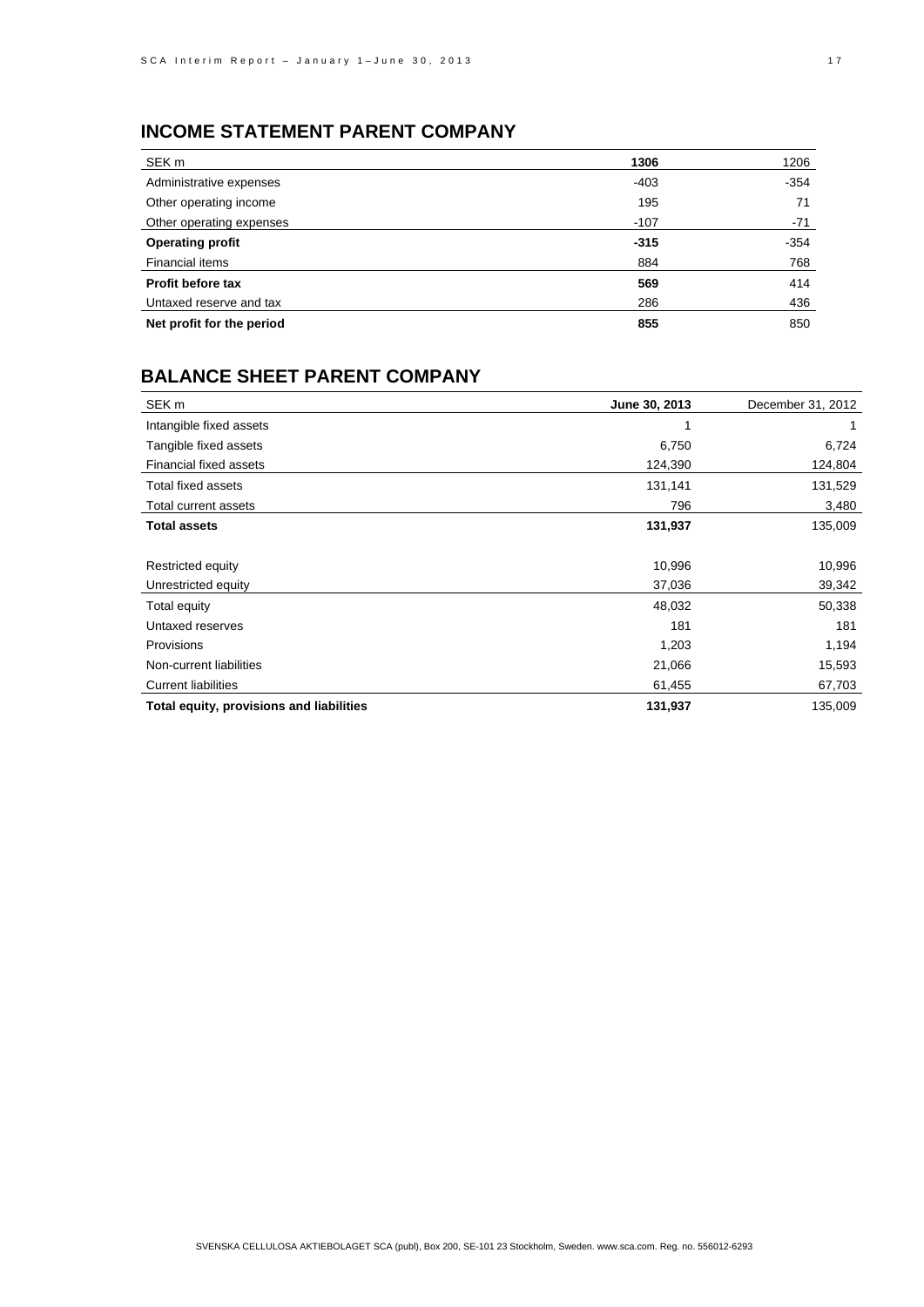# **INCOME STATEMENT PARENT COMPANY**

| SEK <sub>m</sub>          | 1306   | 1206   |
|---------------------------|--------|--------|
| Administrative expenses   | $-403$ | $-354$ |
| Other operating income    | 195    | 71     |
| Other operating expenses  | $-107$ | -71    |
| <b>Operating profit</b>   | $-315$ | $-354$ |
| Financial items           | 884    | 768    |
| Profit before tax         | 569    | 414    |
| Untaxed reserve and tax   | 286    | 436    |
| Net profit for the period | 855    | 850    |

# **BALANCE SHEET PARENT COMPANY**

| SEK <sub>m</sub>                         | June 30, 2013 | December 31, 2012 |
|------------------------------------------|---------------|-------------------|
| Intangible fixed assets                  |               |                   |
| Tangible fixed assets                    | 6,750         | 6,724             |
| <b>Financial fixed assets</b>            | 124,390       | 124,804           |
| Total fixed assets                       | 131,141       | 131,529           |
| Total current assets                     | 796           | 3,480             |
| <b>Total assets</b>                      | 131,937       | 135,009           |
|                                          |               |                   |
| Restricted equity                        | 10,996        | 10,996            |
| Unrestricted equity                      | 37,036        | 39,342            |
| Total equity                             | 48,032        | 50,338            |
| Untaxed reserves                         | 181           | 181               |
| <b>Provisions</b>                        | 1,203         | 1,194             |
| Non-current liabilities                  | 21,066        | 15,593            |
| <b>Current liabilities</b>               | 61,455        | 67,703            |
| Total equity, provisions and liabilities | 131,937       | 135,009           |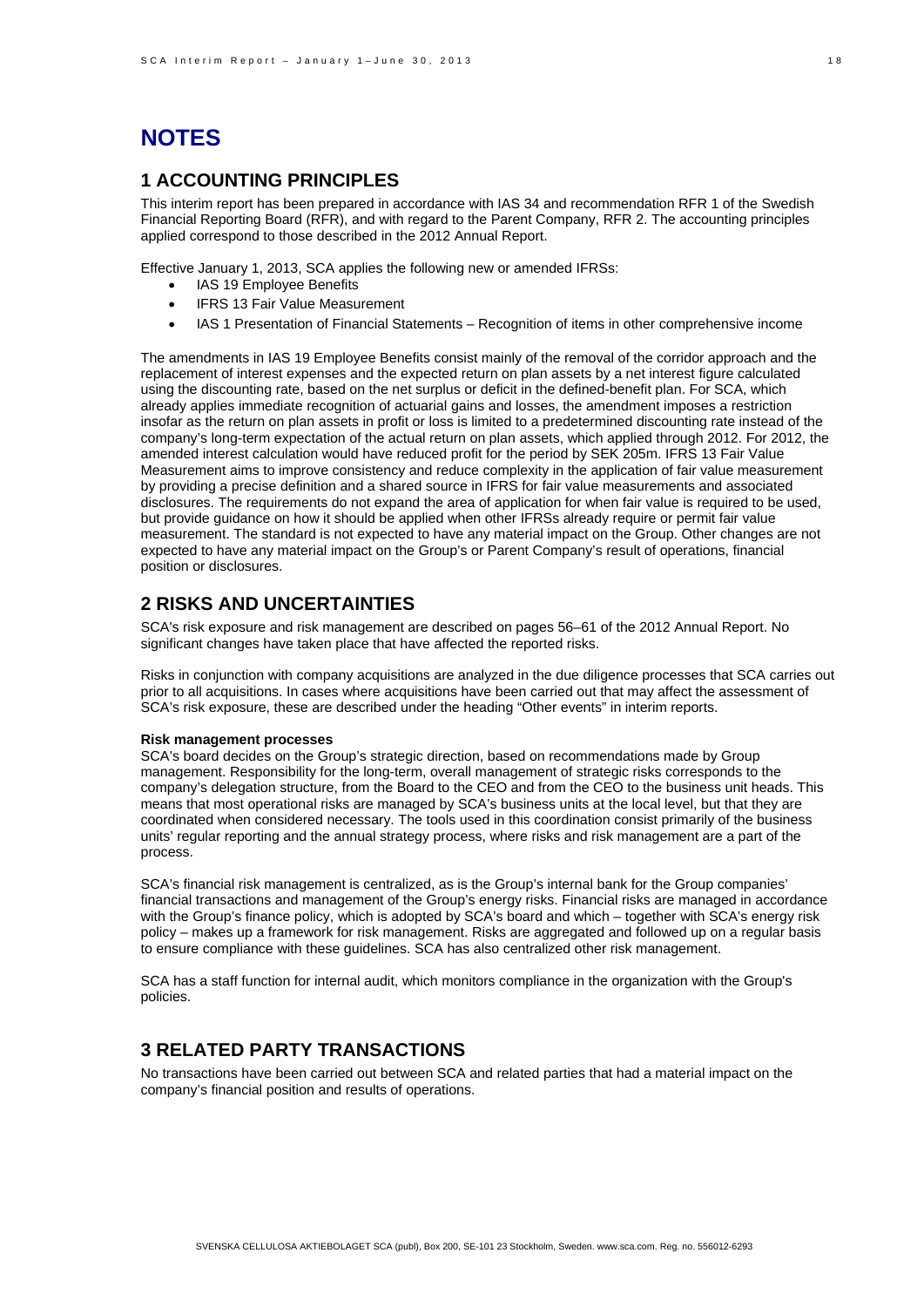# **NOTES**

## **1 ACCOUNTING PRINCIPLES**

This interim report has been prepared in accordance with IAS 34 and recommendation RFR 1 of the Swedish Financial Reporting Board (RFR), and with regard to the Parent Company, RFR 2. The accounting principles applied correspond to those described in the 2012 Annual Report.

Effective January 1, 2013, SCA applies the following new or amended IFRSs:

- IAS 19 Employee Benefits
- IFRS 13 Fair Value Measurement
- IAS 1 Presentation of Financial Statements Recognition of items in other comprehensive income

The amendments in IAS 19 Employee Benefits consist mainly of the removal of the corridor approach and the replacement of interest expenses and the expected return on plan assets by a net interest figure calculated using the discounting rate, based on the net surplus or deficit in the defined-benefit plan. For SCA, which already applies immediate recognition of actuarial gains and losses, the amendment imposes a restriction insofar as the return on plan assets in profit or loss is limited to a predetermined discounting rate instead of the company's long-term expectation of the actual return on plan assets, which applied through 2012. For 2012, the amended interest calculation would have reduced profit for the period by SEK 205m. IFRS 13 Fair Value Measurement aims to improve consistency and reduce complexity in the application of fair value measurement by providing a precise definition and a shared source in IFRS for fair value measurements and associated disclosures. The requirements do not expand the area of application for when fair value is required to be used, but provide guidance on how it should be applied when other IFRSs already require or permit fair value measurement. The standard is not expected to have any material impact on the Group. Other changes are not expected to have any material impact on the Group's or Parent Company's result of operations, financial position or disclosures.

### **2 RISKS AND UNCERTAINTIES**

SCA's risk exposure and risk management are described on pages 56–61 of the 2012 Annual Report. No significant changes have taken place that have affected the reported risks.

Risks in conjunction with company acquisitions are analyzed in the due diligence processes that SCA carries out prior to all acquisitions. In cases where acquisitions have been carried out that may affect the assessment of SCA's risk exposure, these are described under the heading "Other events" in interim reports.

#### **Risk management processes**

SCA's board decides on the Group's strategic direction, based on recommendations made by Group management. Responsibility for the long-term, overall management of strategic risks corresponds to the company's delegation structure, from the Board to the CEO and from the CEO to the business unit heads. This means that most operational risks are managed by SCA's business units at the local level, but that they are coordinated when considered necessary. The tools used in this coordination consist primarily of the business units' regular reporting and the annual strategy process, where risks and risk management are a part of the process.

SCA's financial risk management is centralized, as is the Group's internal bank for the Group companies' financial transactions and management of the Group's energy risks. Financial risks are managed in accordance with the Group's finance policy, which is adopted by SCA's board and which – together with SCA's energy risk policy – makes up a framework for risk management. Risks are aggregated and followed up on a regular basis to ensure compliance with these guidelines. SCA has also centralized other risk management.

SCA has a staff function for internal audit, which monitors compliance in the organization with the Group's policies.

### **3 RELATED PARTY TRANSACTIONS**

No transactions have been carried out between SCA and related parties that had a material impact on the company's financial position and results of operations.